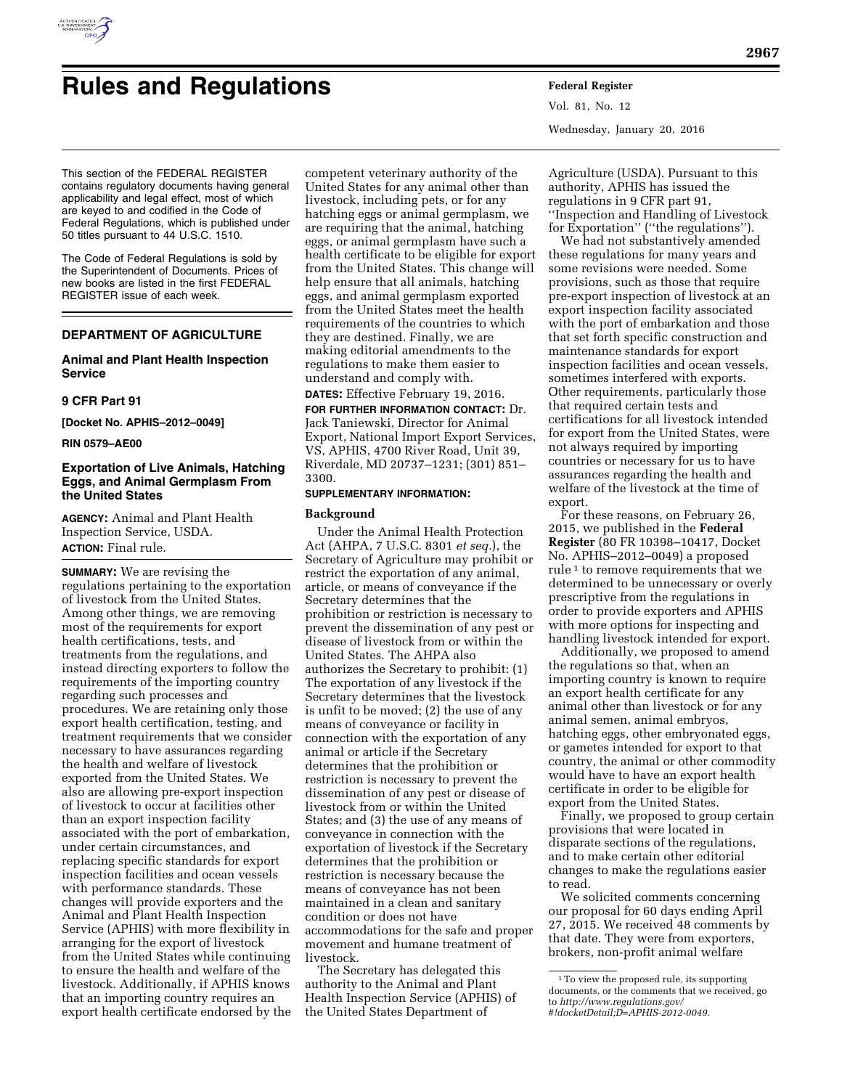

# **Rules and Regulations Federal Register**

Vol. 81, No. 12 Wednesday, January 20, 2016

This section of the FEDERAL REGISTER contains regulatory documents having general applicability and legal effect, most of which are keyed to and codified in the Code of Federal Regulations, which is published under 50 titles pursuant to 44 U.S.C. 1510.

The Code of Federal Regulations is sold by the Superintendent of Documents. Prices of new books are listed in the first FEDERAL REGISTER issue of each week.

## **DEPARTMENT OF AGRICULTURE**

## **Animal and Plant Health Inspection Service**

## **9 CFR Part 91**

**[Docket No. APHIS–2012–0049]** 

#### **RIN 0579–AE00**

## **Exportation of Live Animals, Hatching Eggs, and Animal Germplasm From the United States**

**AGENCY:** Animal and Plant Health Inspection Service, USDA. **ACTION:** Final rule.

**SUMMARY:** We are revising the regulations pertaining to the exportation of livestock from the United States. Among other things, we are removing most of the requirements for export health certifications, tests, and treatments from the regulations, and instead directing exporters to follow the requirements of the importing country regarding such processes and procedures. We are retaining only those export health certification, testing, and treatment requirements that we consider necessary to have assurances regarding the health and welfare of livestock exported from the United States. We also are allowing pre-export inspection of livestock to occur at facilities other than an export inspection facility associated with the port of embarkation, under certain circumstances, and replacing specific standards for export inspection facilities and ocean vessels with performance standards. These changes will provide exporters and the Animal and Plant Health Inspection Service (APHIS) with more flexibility in arranging for the export of livestock from the United States while continuing to ensure the health and welfare of the livestock. Additionally, if APHIS knows that an importing country requires an export health certificate endorsed by the

competent veterinary authority of the United States for any animal other than livestock, including pets, or for any hatching eggs or animal germplasm, we are requiring that the animal, hatching eggs, or animal germplasm have such a health certificate to be eligible for export from the United States. This change will help ensure that all animals, hatching eggs, and animal germplasm exported from the United States meet the health requirements of the countries to which they are destined. Finally, we are making editorial amendments to the regulations to make them easier to understand and comply with.

**DATES:** Effective February 19, 2016.

**FOR FURTHER INFORMATION CONTACT:** Dr. Jack Taniewski, Director for Animal Export, National Import Export Services, VS, APHIS, 4700 River Road, Unit 39, Riverdale, MD 20737–1231; (301) 851– 3300.

#### **SUPPLEMENTARY INFORMATION:**

#### **Background**

Under the Animal Health Protection Act (AHPA, 7 U.S.C. 8301 *et seq.*), the Secretary of Agriculture may prohibit or restrict the exportation of any animal, article, or means of conveyance if the Secretary determines that the prohibition or restriction is necessary to prevent the dissemination of any pest or disease of livestock from or within the United States. The AHPA also authorizes the Secretary to prohibit: (1) The exportation of any livestock if the Secretary determines that the livestock is unfit to be moved; (2) the use of any means of conveyance or facility in connection with the exportation of any animal or article if the Secretary determines that the prohibition or restriction is necessary to prevent the dissemination of any pest or disease of livestock from or within the United States; and (3) the use of any means of conveyance in connection with the exportation of livestock if the Secretary determines that the prohibition or restriction is necessary because the means of conveyance has not been maintained in a clean and sanitary condition or does not have accommodations for the safe and proper movement and humane treatment of livestock.

The Secretary has delegated this authority to the Animal and Plant Health Inspection Service (APHIS) of the United States Department of

Agriculture (USDA). Pursuant to this authority, APHIS has issued the regulations in 9 CFR part 91, ''Inspection and Handling of Livestock for Exportation'' (''the regulations'').

We had not substantively amended these regulations for many years and some revisions were needed. Some provisions, such as those that require pre-export inspection of livestock at an export inspection facility associated with the port of embarkation and those that set forth specific construction and maintenance standards for export inspection facilities and ocean vessels, sometimes interfered with exports. Other requirements, particularly those that required certain tests and certifications for all livestock intended for export from the United States, were not always required by importing countries or necessary for us to have assurances regarding the health and welfare of the livestock at the time of export.

For these reasons, on February 26, 2015, we published in the **Federal Register** (80 FR 10398–10417, Docket No. APHIS–2012–0049) a proposed rule 1 to remove requirements that we determined to be unnecessary or overly prescriptive from the regulations in order to provide exporters and APHIS with more options for inspecting and handling livestock intended for export.

Additionally, we proposed to amend the regulations so that, when an importing country is known to require an export health certificate for any animal other than livestock or for any animal semen, animal embryos, hatching eggs, other embryonated eggs, or gametes intended for export to that country, the animal or other commodity would have to have an export health certificate in order to be eligible for export from the United States.

Finally, we proposed to group certain provisions that were located in disparate sections of the regulations, and to make certain other editorial changes to make the regulations easier to read.

We solicited comments concerning our proposal for 60 days ending April 27, 2015. We received 48 comments by that date. They were from exporters, brokers, non-profit animal welfare

<sup>1</sup>To view the proposed rule, its supporting documents, or the comments that we received, go to *[http://www.regulations.gov/](http://www.regulations.gov/#!docketDetail;D=APHIS-2012-0049) [#!docketDetail;D=APHIS-2012-0049](http://www.regulations.gov/#!docketDetail;D=APHIS-2012-0049)*.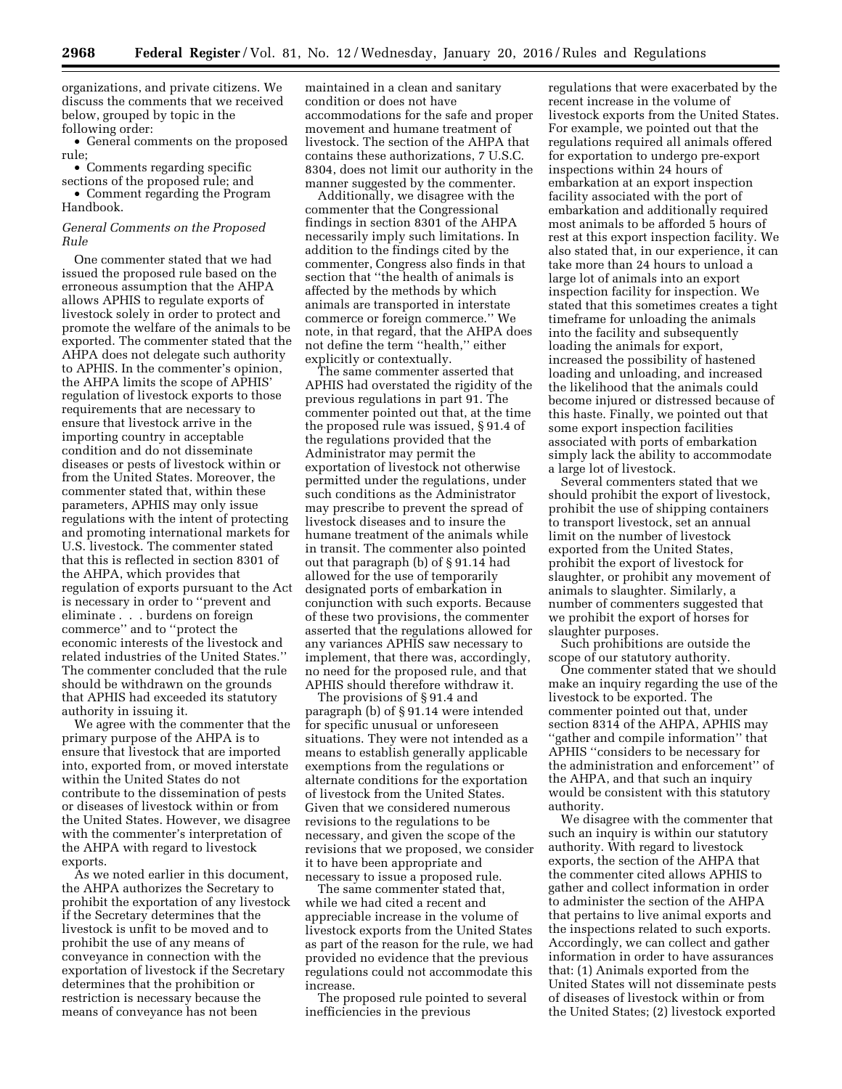organizations, and private citizens. We discuss the comments that we received below, grouped by topic in the following order:

• General comments on the proposed rule;

• Comments regarding specific sections of the proposed rule; and

• Comment regarding the Program Handbook.

#### *General Comments on the Proposed Rule*

One commenter stated that we had issued the proposed rule based on the erroneous assumption that the AHPA allows APHIS to regulate exports of livestock solely in order to protect and promote the welfare of the animals to be exported. The commenter stated that the AHPA does not delegate such authority to APHIS. In the commenter's opinion, the AHPA limits the scope of APHIS' regulation of livestock exports to those requirements that are necessary to ensure that livestock arrive in the importing country in acceptable condition and do not disseminate diseases or pests of livestock within or from the United States. Moreover, the commenter stated that, within these parameters, APHIS may only issue regulations with the intent of protecting and promoting international markets for U.S. livestock. The commenter stated that this is reflected in section 8301 of the AHPA, which provides that regulation of exports pursuant to the Act is necessary in order to ''prevent and eliminate . . . burdens on foreign commerce'' and to ''protect the economic interests of the livestock and related industries of the United States.'' The commenter concluded that the rule should be withdrawn on the grounds that APHIS had exceeded its statutory authority in issuing it.

We agree with the commenter that the primary purpose of the AHPA is to ensure that livestock that are imported into, exported from, or moved interstate within the United States do not contribute to the dissemination of pests or diseases of livestock within or from the United States. However, we disagree with the commenter's interpretation of the AHPA with regard to livestock exports.

As we noted earlier in this document, the AHPA authorizes the Secretary to prohibit the exportation of any livestock if the Secretary determines that the livestock is unfit to be moved and to prohibit the use of any means of conveyance in connection with the exportation of livestock if the Secretary determines that the prohibition or restriction is necessary because the means of conveyance has not been

maintained in a clean and sanitary condition or does not have accommodations for the safe and proper movement and humane treatment of livestock. The section of the AHPA that contains these authorizations, 7 U.S.C. 8304, does not limit our authority in the manner suggested by the commenter.

Additionally, we disagree with the commenter that the Congressional findings in section 8301 of the AHPA necessarily imply such limitations. In addition to the findings cited by the commenter, Congress also finds in that section that ''the health of animals is affected by the methods by which animals are transported in interstate commerce or foreign commerce.'' We note, in that regard, that the AHPA does not define the term ''health,'' either explicitly or contextually.

The same commenter asserted that APHIS had overstated the rigidity of the previous regulations in part 91. The commenter pointed out that, at the time the proposed rule was issued, § 91.4 of the regulations provided that the Administrator may permit the exportation of livestock not otherwise permitted under the regulations, under such conditions as the Administrator may prescribe to prevent the spread of livestock diseases and to insure the humane treatment of the animals while in transit. The commenter also pointed out that paragraph (b) of § 91.14 had allowed for the use of temporarily designated ports of embarkation in conjunction with such exports. Because of these two provisions, the commenter asserted that the regulations allowed for any variances APHIS saw necessary to implement, that there was, accordingly, no need for the proposed rule, and that APHIS should therefore withdraw it.

The provisions of § 91.4 and paragraph (b) of § 91.14 were intended for specific unusual or unforeseen situations. They were not intended as a means to establish generally applicable exemptions from the regulations or alternate conditions for the exportation of livestock from the United States. Given that we considered numerous revisions to the regulations to be necessary, and given the scope of the revisions that we proposed, we consider it to have been appropriate and necessary to issue a proposed rule.

The same commenter stated that, while we had cited a recent and appreciable increase in the volume of livestock exports from the United States as part of the reason for the rule, we had provided no evidence that the previous regulations could not accommodate this increase.

The proposed rule pointed to several inefficiencies in the previous

regulations that were exacerbated by the recent increase in the volume of livestock exports from the United States. For example, we pointed out that the regulations required all animals offered for exportation to undergo pre-export inspections within 24 hours of embarkation at an export inspection facility associated with the port of embarkation and additionally required most animals to be afforded 5 hours of rest at this export inspection facility. We also stated that, in our experience, it can take more than 24 hours to unload a large lot of animals into an export inspection facility for inspection. We stated that this sometimes creates a tight timeframe for unloading the animals into the facility and subsequently loading the animals for export, increased the possibility of hastened loading and unloading, and increased the likelihood that the animals could become injured or distressed because of this haste. Finally, we pointed out that some export inspection facilities associated with ports of embarkation simply lack the ability to accommodate a large lot of livestock.

Several commenters stated that we should prohibit the export of livestock, prohibit the use of shipping containers to transport livestock, set an annual limit on the number of livestock exported from the United States, prohibit the export of livestock for slaughter, or prohibit any movement of animals to slaughter. Similarly, a number of commenters suggested that we prohibit the export of horses for slaughter purposes.

Such prohibitions are outside the scope of our statutory authority.

One commenter stated that we should make an inquiry regarding the use of the livestock to be exported. The commenter pointed out that, under section 8314 of the AHPA, APHIS may ''gather and compile information'' that APHIS ''considers to be necessary for the administration and enforcement'' of the AHPA, and that such an inquiry would be consistent with this statutory authority.

We disagree with the commenter that such an inquiry is within our statutory authority. With regard to livestock exports, the section of the AHPA that the commenter cited allows APHIS to gather and collect information in order to administer the section of the AHPA that pertains to live animal exports and the inspections related to such exports. Accordingly, we can collect and gather information in order to have assurances that: (1) Animals exported from the United States will not disseminate pests of diseases of livestock within or from the United States; (2) livestock exported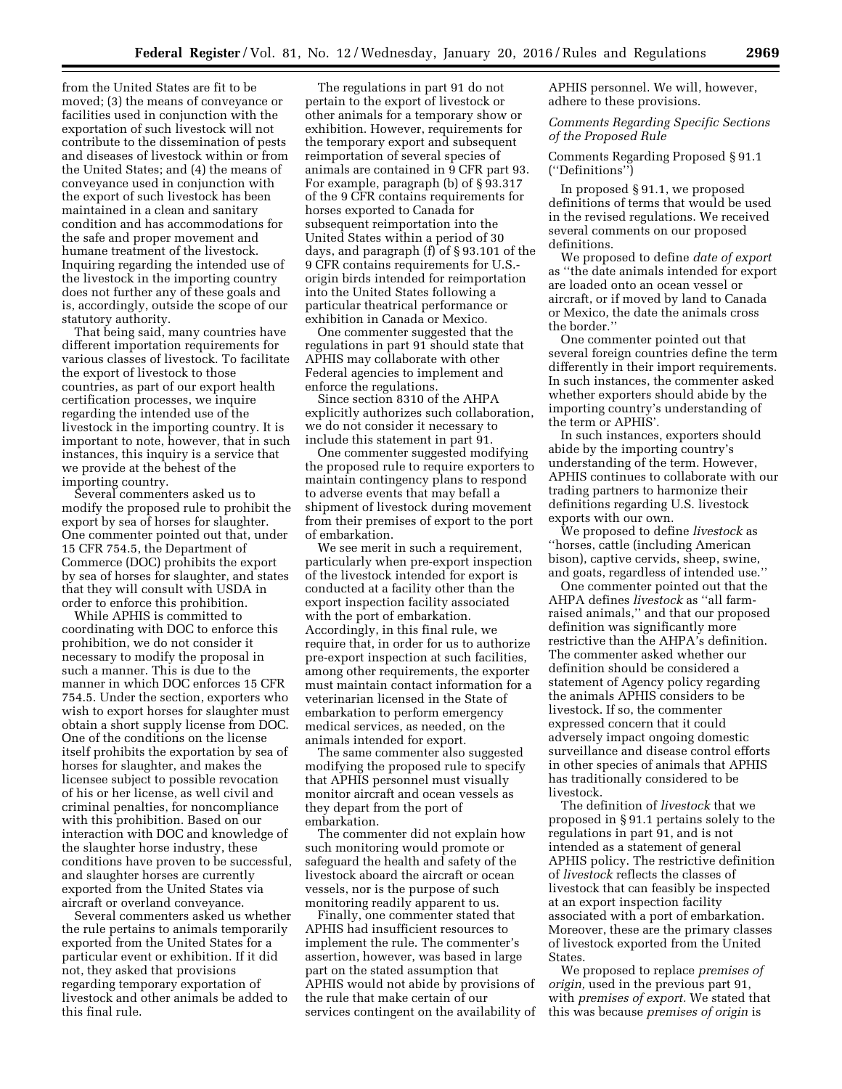from the United States are fit to be moved; (3) the means of conveyance or facilities used in conjunction with the exportation of such livestock will not contribute to the dissemination of pests and diseases of livestock within or from the United States; and (4) the means of conveyance used in conjunction with the export of such livestock has been maintained in a clean and sanitary condition and has accommodations for the safe and proper movement and humane treatment of the livestock. Inquiring regarding the intended use of the livestock in the importing country does not further any of these goals and is, accordingly, outside the scope of our statutory authority.

That being said, many countries have different importation requirements for various classes of livestock. To facilitate the export of livestock to those countries, as part of our export health certification processes, we inquire regarding the intended use of the livestock in the importing country. It is important to note, however, that in such instances, this inquiry is a service that we provide at the behest of the importing country.

Several commenters asked us to modify the proposed rule to prohibit the export by sea of horses for slaughter. One commenter pointed out that, under 15 CFR 754.5, the Department of Commerce (DOC) prohibits the export by sea of horses for slaughter, and states that they will consult with USDA in order to enforce this prohibition.

While APHIS is committed to coordinating with DOC to enforce this prohibition, we do not consider it necessary to modify the proposal in such a manner. This is due to the manner in which DOC enforces 15 CFR 754.5. Under the section, exporters who wish to export horses for slaughter must obtain a short supply license from DOC. One of the conditions on the license itself prohibits the exportation by sea of horses for slaughter, and makes the licensee subject to possible revocation of his or her license, as well civil and criminal penalties, for noncompliance with this prohibition. Based on our interaction with DOC and knowledge of the slaughter horse industry, these conditions have proven to be successful, and slaughter horses are currently exported from the United States via aircraft or overland conveyance.

Several commenters asked us whether the rule pertains to animals temporarily exported from the United States for a particular event or exhibition. If it did not, they asked that provisions regarding temporary exportation of livestock and other animals be added to this final rule.

The regulations in part 91 do not pertain to the export of livestock or other animals for a temporary show or exhibition. However, requirements for the temporary export and subsequent reimportation of several species of animals are contained in 9 CFR part 93. For example, paragraph (b) of § 93.317 of the 9 CFR contains requirements for horses exported to Canada for subsequent reimportation into the United States within a period of 30 days, and paragraph (f) of § 93.101 of the 9 CFR contains requirements for U.S. origin birds intended for reimportation into the United States following a particular theatrical performance or exhibition in Canada or Mexico.

One commenter suggested that the regulations in part 91 should state that APHIS may collaborate with other Federal agencies to implement and enforce the regulations.

Since section 8310 of the AHPA explicitly authorizes such collaboration, we do not consider it necessary to include this statement in part 91.

One commenter suggested modifying the proposed rule to require exporters to maintain contingency plans to respond to adverse events that may befall a shipment of livestock during movement from their premises of export to the port of embarkation.

We see merit in such a requirement, particularly when pre-export inspection of the livestock intended for export is conducted at a facility other than the export inspection facility associated with the port of embarkation. Accordingly, in this final rule, we require that, in order for us to authorize pre-export inspection at such facilities, among other requirements, the exporter must maintain contact information for a veterinarian licensed in the State of embarkation to perform emergency medical services, as needed, on the animals intended for export.

The same commenter also suggested modifying the proposed rule to specify that APHIS personnel must visually monitor aircraft and ocean vessels as they depart from the port of embarkation.

The commenter did not explain how such monitoring would promote or safeguard the health and safety of the livestock aboard the aircraft or ocean vessels, nor is the purpose of such monitoring readily apparent to us.

Finally, one commenter stated that APHIS had insufficient resources to implement the rule. The commenter's assertion, however, was based in large part on the stated assumption that APHIS would not abide by provisions of the rule that make certain of our services contingent on the availability of APHIS personnel. We will, however, adhere to these provisions.

## *Comments Regarding Specific Sections of the Proposed Rule*

Comments Regarding Proposed § 91.1 (''Definitions'')

In proposed § 91.1, we proposed definitions of terms that would be used in the revised regulations. We received several comments on our proposed definitions.

We proposed to define *date of export*  as ''the date animals intended for export are loaded onto an ocean vessel or aircraft, or if moved by land to Canada or Mexico, the date the animals cross the border.''

One commenter pointed out that several foreign countries define the term differently in their import requirements. In such instances, the commenter asked whether exporters should abide by the importing country's understanding of the term or APHIS'.

In such instances, exporters should abide by the importing country's understanding of the term. However, APHIS continues to collaborate with our trading partners to harmonize their definitions regarding U.S. livestock exports with our own.

We proposed to define *livestock* as ''horses, cattle (including American bison), captive cervids, sheep, swine, and goats, regardless of intended use.''

One commenter pointed out that the AHPA defines *livestock* as ''all farmraised animals,'' and that our proposed definition was significantly more restrictive than the AHPA's definition. The commenter asked whether our definition should be considered a statement of Agency policy regarding the animals APHIS considers to be livestock. If so, the commenter expressed concern that it could adversely impact ongoing domestic surveillance and disease control efforts in other species of animals that APHIS has traditionally considered to be livestock.

The definition of *livestock* that we proposed in § 91.1 pertains solely to the regulations in part 91, and is not intended as a statement of general APHIS policy. The restrictive definition of *livestock* reflects the classes of livestock that can feasibly be inspected at an export inspection facility associated with a port of embarkation. Moreover, these are the primary classes of livestock exported from the United States.

We proposed to replace *premises of origin,* used in the previous part 91, with *premises of export.* We stated that this was because *premises of origin* is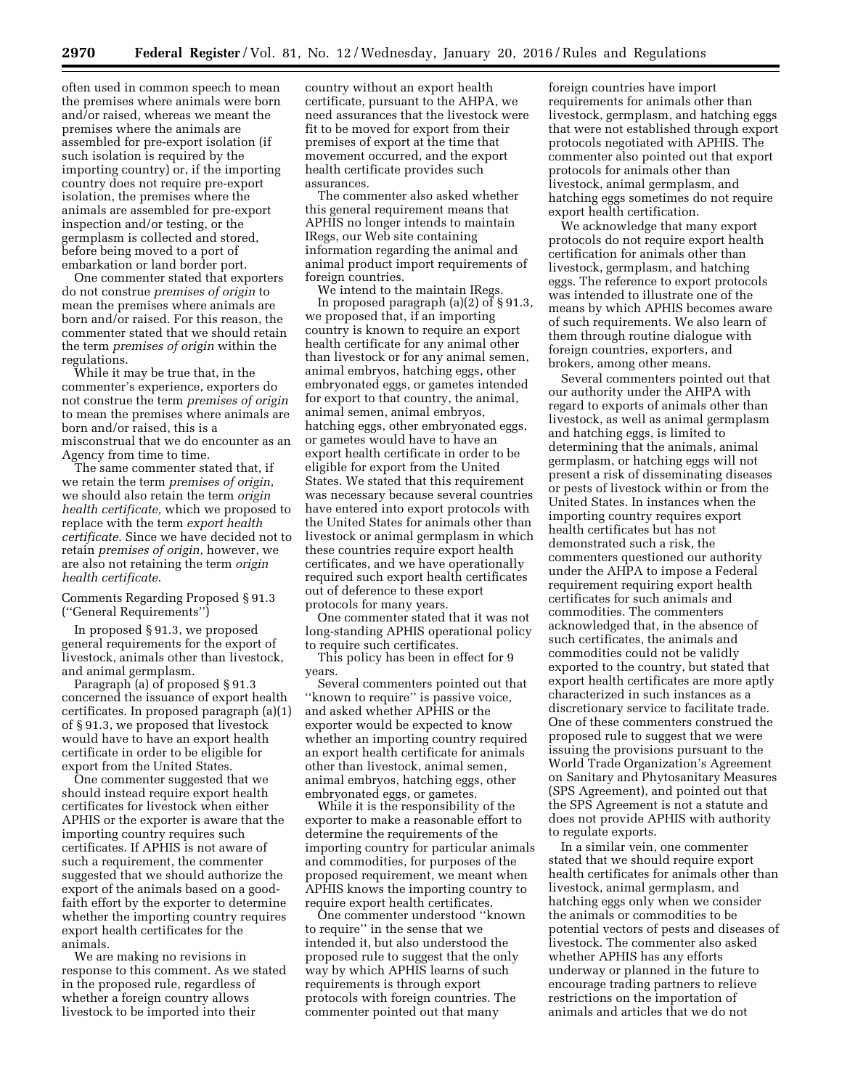often used in common speech to mean the premises where animals were born and/or raised, whereas we meant the premises where the animals are assembled for pre-export isolation (if such isolation is required by the importing country) or, if the importing country does not require pre-export isolation, the premises where the animals are assembled for pre-export inspection and/or testing, or the germplasm is collected and stored, before being moved to a port of embarkation or land border port.

One commenter stated that exporters do not construe *premises of origin* to mean the premises where animals are born and/or raised. For this reason, the commenter stated that we should retain the term *premises of origin* within the regulations.

While it may be true that, in the commenter's experience, exporters do not construe the term *premises of origin*  to mean the premises where animals are born and/or raised, this is a misconstrual that we do encounter as an Agency from time to time.

The same commenter stated that, if we retain the term *premises of origin,*  we should also retain the term *origin health certificate,* which we proposed to replace with the term *export health certificate.* Since we have decided not to retain *premises of origin,* however, we are also not retaining the term *origin health certificate*.

Comments Regarding Proposed § 91.3 (''General Requirements'')

In proposed § 91.3, we proposed general requirements for the export of livestock, animals other than livestock, and animal germplasm.

Paragraph (a) of proposed § 91.3 concerned the issuance of export health certificates. In proposed paragraph (a)(1) of § 91.3, we proposed that livestock would have to have an export health certificate in order to be eligible for export from the United States.

One commenter suggested that we should instead require export health certificates for livestock when either APHIS or the exporter is aware that the importing country requires such certificates. If APHIS is not aware of such a requirement, the commenter suggested that we should authorize the export of the animals based on a goodfaith effort by the exporter to determine whether the importing country requires export health certificates for the animals.

We are making no revisions in response to this comment. As we stated in the proposed rule, regardless of whether a foreign country allows livestock to be imported into their

country without an export health certificate, pursuant to the AHPA, we need assurances that the livestock were fit to be moved for export from their premises of export at the time that movement occurred, and the export health certificate provides such assurances.

The commenter also asked whether this general requirement means that APHIS no longer intends to maintain IRegs, our Web site containing information regarding the animal and animal product import requirements of foreign countries.

We intend to the maintain IRegs. In proposed paragraph (a)(2) of § 91.3, we proposed that, if an importing country is known to require an export health certificate for any animal other than livestock or for any animal semen, animal embryos, hatching eggs, other embryonated eggs, or gametes intended for export to that country, the animal, animal semen, animal embryos, hatching eggs, other embryonated eggs, or gametes would have to have an export health certificate in order to be eligible for export from the United States. We stated that this requirement was necessary because several countries have entered into export protocols with the United States for animals other than livestock or animal germplasm in which these countries require export health certificates, and we have operationally required such export health certificates out of deference to these export protocols for many years.

One commenter stated that it was not long-standing APHIS operational policy to require such certificates.

This policy has been in effect for 9 years.

Several commenters pointed out that "known to require" is passive voice, and asked whether APHIS or the exporter would be expected to know whether an importing country required an export health certificate for animals other than livestock, animal semen, animal embryos, hatching eggs, other embryonated eggs, or gametes.

While it is the responsibility of the exporter to make a reasonable effort to determine the requirements of the importing country for particular animals and commodities, for purposes of the proposed requirement, we meant when APHIS knows the importing country to require export health certificates.

One commenter understood ''known to require'' in the sense that we intended it, but also understood the proposed rule to suggest that the only way by which APHIS learns of such requirements is through export protocols with foreign countries. The commenter pointed out that many

foreign countries have import requirements for animals other than livestock, germplasm, and hatching eggs that were not established through export protocols negotiated with APHIS. The commenter also pointed out that export protocols for animals other than livestock, animal germplasm, and hatching eggs sometimes do not require export health certification.

We acknowledge that many export protocols do not require export health certification for animals other than livestock, germplasm, and hatching eggs. The reference to export protocols was intended to illustrate one of the means by which APHIS becomes aware of such requirements. We also learn of them through routine dialogue with foreign countries, exporters, and brokers, among other means.

Several commenters pointed out that our authority under the AHPA with regard to exports of animals other than livestock, as well as animal germplasm and hatching eggs, is limited to determining that the animals, animal germplasm, or hatching eggs will not present a risk of disseminating diseases or pests of livestock within or from the United States. In instances when the importing country requires export health certificates but has not demonstrated such a risk, the commenters questioned our authority under the AHPA to impose a Federal requirement requiring export health certificates for such animals and commodities. The commenters acknowledged that, in the absence of such certificates, the animals and commodities could not be validly exported to the country, but stated that export health certificates are more aptly characterized in such instances as a discretionary service to facilitate trade. One of these commenters construed the proposed rule to suggest that we were issuing the provisions pursuant to the World Trade Organization's Agreement on Sanitary and Phytosanitary Measures (SPS Agreement), and pointed out that the SPS Agreement is not a statute and does not provide APHIS with authority to regulate exports.

In a similar vein, one commenter stated that we should require export health certificates for animals other than livestock, animal germplasm, and hatching eggs only when we consider the animals or commodities to be potential vectors of pests and diseases of livestock. The commenter also asked whether APHIS has any efforts underway or planned in the future to encourage trading partners to relieve restrictions on the importation of animals and articles that we do not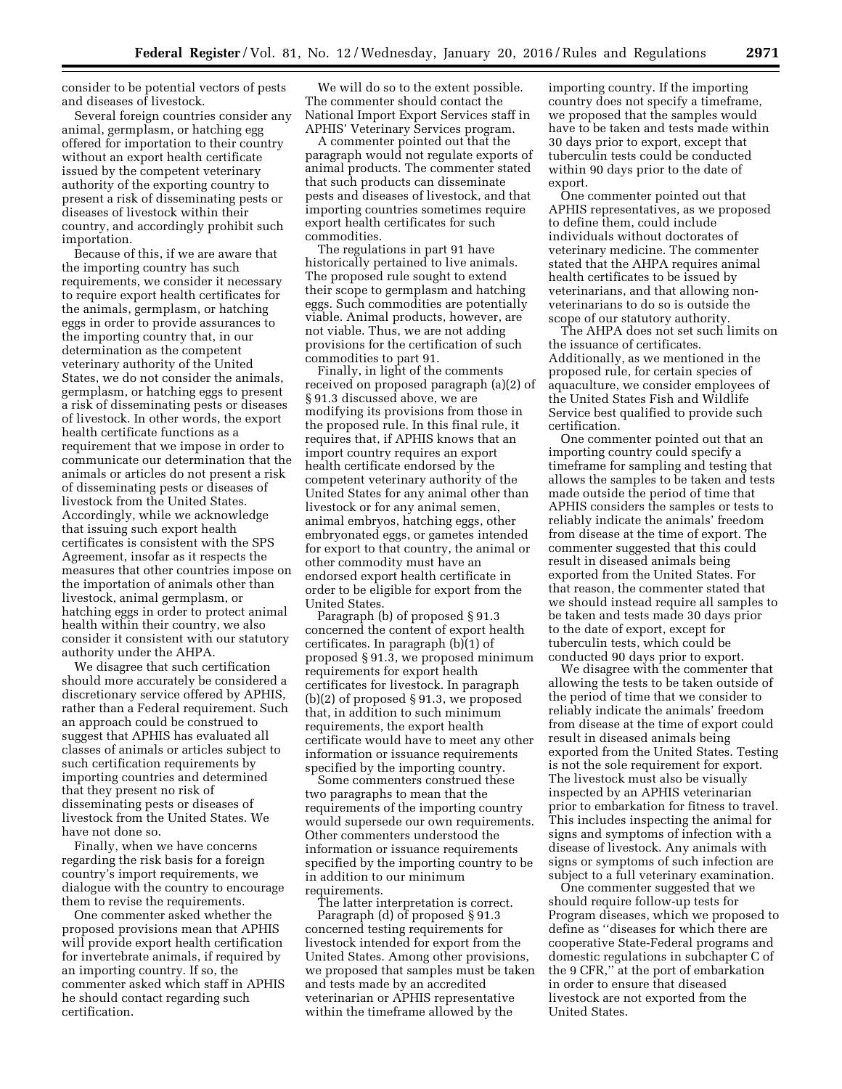consider to be potential vectors of pests and diseases of livestock.

Several foreign countries consider any animal, germplasm, or hatching egg offered for importation to their country without an export health certificate issued by the competent veterinary authority of the exporting country to present a risk of disseminating pests or diseases of livestock within their country, and accordingly prohibit such importation.

Because of this, if we are aware that the importing country has such requirements, we consider it necessary to require export health certificates for the animals, germplasm, or hatching eggs in order to provide assurances to the importing country that, in our determination as the competent veterinary authority of the United States, we do not consider the animals, germplasm, or hatching eggs to present a risk of disseminating pests or diseases of livestock. In other words, the export health certificate functions as a requirement that we impose in order to communicate our determination that the animals or articles do not present a risk of disseminating pests or diseases of livestock from the United States. Accordingly, while we acknowledge that issuing such export health certificates is consistent with the SPS Agreement, insofar as it respects the measures that other countries impose on the importation of animals other than livestock, animal germplasm, or hatching eggs in order to protect animal health within their country, we also consider it consistent with our statutory authority under the AHPA.

We disagree that such certification should more accurately be considered a discretionary service offered by APHIS, rather than a Federal requirement. Such an approach could be construed to suggest that APHIS has evaluated all classes of animals or articles subject to such certification requirements by importing countries and determined that they present no risk of disseminating pests or diseases of livestock from the United States. We have not done so.

Finally, when we have concerns regarding the risk basis for a foreign country's import requirements, we dialogue with the country to encourage them to revise the requirements.

One commenter asked whether the proposed provisions mean that APHIS will provide export health certification for invertebrate animals, if required by an importing country. If so, the commenter asked which staff in APHIS he should contact regarding such certification.

We will do so to the extent possible. The commenter should contact the National Import Export Services staff in APHIS' Veterinary Services program.

A commenter pointed out that the paragraph would not regulate exports of animal products. The commenter stated that such products can disseminate pests and diseases of livestock, and that importing countries sometimes require export health certificates for such commodities.

The regulations in part 91 have historically pertained to live animals. The proposed rule sought to extend their scope to germplasm and hatching eggs. Such commodities are potentially viable. Animal products, however, are not viable. Thus, we are not adding provisions for the certification of such commodities to part 91.

Finally, in light of the comments received on proposed paragraph (a)(2) of § 91.3 discussed above, we are modifying its provisions from those in the proposed rule. In this final rule, it requires that, if APHIS knows that an import country requires an export health certificate endorsed by the competent veterinary authority of the United States for any animal other than livestock or for any animal semen, animal embryos, hatching eggs, other embryonated eggs, or gametes intended for export to that country, the animal or other commodity must have an endorsed export health certificate in order to be eligible for export from the United States.

Paragraph (b) of proposed § 91.3 concerned the content of export health certificates. In paragraph (b)(1) of proposed § 91.3, we proposed minimum requirements for export health certificates for livestock. In paragraph (b)(2) of proposed § 91.3, we proposed that, in addition to such minimum requirements, the export health certificate would have to meet any other information or issuance requirements specified by the importing country.

Some commenters construed these two paragraphs to mean that the requirements of the importing country would supersede our own requirements. Other commenters understood the information or issuance requirements specified by the importing country to be in addition to our minimum requirements.

The latter interpretation is correct. Paragraph (d) of proposed § 91.3 concerned testing requirements for livestock intended for export from the United States. Among other provisions, we proposed that samples must be taken and tests made by an accredited veterinarian or APHIS representative within the timeframe allowed by the

importing country. If the importing country does not specify a timeframe, we proposed that the samples would have to be taken and tests made within 30 days prior to export, except that tuberculin tests could be conducted within 90 days prior to the date of export.

One commenter pointed out that APHIS representatives, as we proposed to define them, could include individuals without doctorates of veterinary medicine. The commenter stated that the AHPA requires animal health certificates to be issued by veterinarians, and that allowing nonveterinarians to do so is outside the scope of our statutory authority.

The AHPA does not set such limits on the issuance of certificates. Additionally, as we mentioned in the proposed rule, for certain species of aquaculture, we consider employees of the United States Fish and Wildlife Service best qualified to provide such certification.

One commenter pointed out that an importing country could specify a timeframe for sampling and testing that allows the samples to be taken and tests made outside the period of time that APHIS considers the samples or tests to reliably indicate the animals' freedom from disease at the time of export. The commenter suggested that this could result in diseased animals being exported from the United States. For that reason, the commenter stated that we should instead require all samples to be taken and tests made 30 days prior to the date of export, except for tuberculin tests, which could be conducted 90 days prior to export.

We disagree with the commenter that allowing the tests to be taken outside of the period of time that we consider to reliably indicate the animals' freedom from disease at the time of export could result in diseased animals being exported from the United States. Testing is not the sole requirement for export. The livestock must also be visually inspected by an APHIS veterinarian prior to embarkation for fitness to travel. This includes inspecting the animal for signs and symptoms of infection with a disease of livestock. Any animals with signs or symptoms of such infection are subject to a full veterinary examination.

One commenter suggested that we should require follow-up tests for Program diseases, which we proposed to define as ''diseases for which there are cooperative State-Federal programs and domestic regulations in subchapter C of the 9 CFR,'' at the port of embarkation in order to ensure that diseased livestock are not exported from the United States.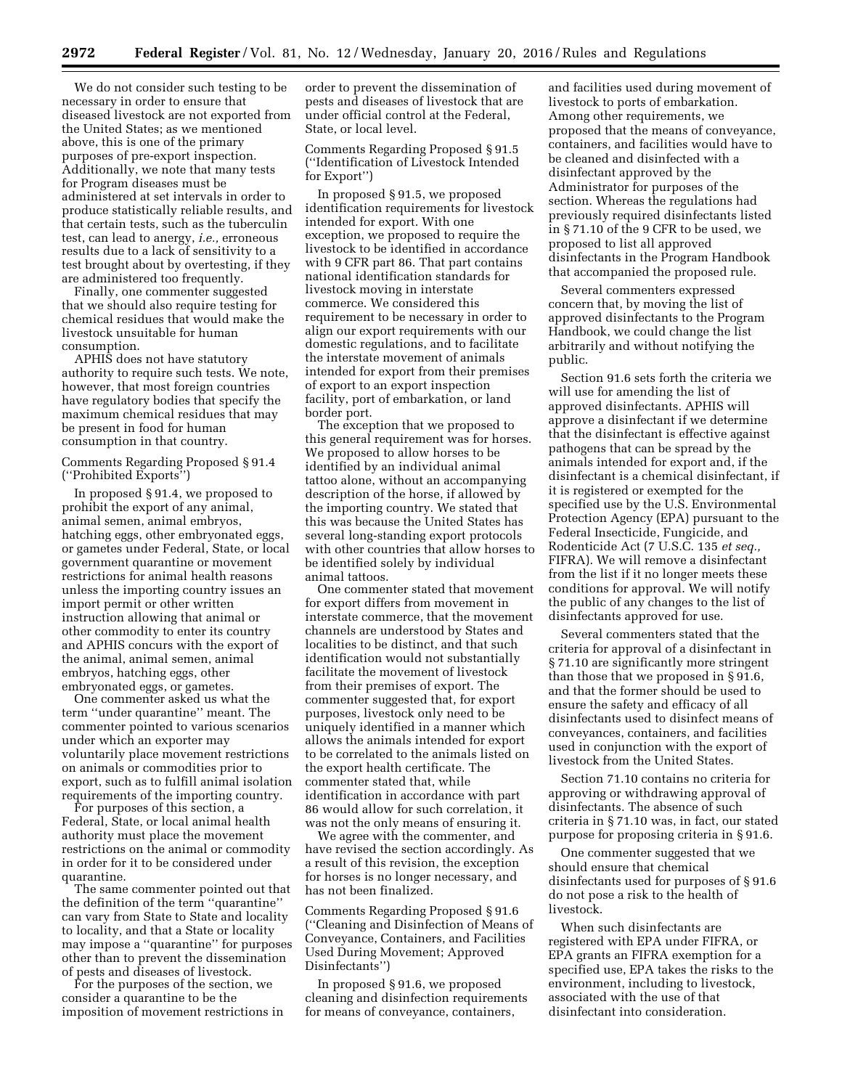We do not consider such testing to be necessary in order to ensure that diseased livestock are not exported from the United States; as we mentioned above, this is one of the primary purposes of pre-export inspection. Additionally, we note that many tests for Program diseases must be administered at set intervals in order to produce statistically reliable results, and that certain tests, such as the tuberculin test, can lead to anergy, *i.e.,* erroneous results due to a lack of sensitivity to a test brought about by overtesting, if they are administered too frequently.

Finally, one commenter suggested that we should also require testing for chemical residues that would make the livestock unsuitable for human consumption.

APHIS does not have statutory authority to require such tests. We note, however, that most foreign countries have regulatory bodies that specify the maximum chemical residues that may be present in food for human consumption in that country.

Comments Regarding Proposed § 91.4 (''Prohibited Exports'')

In proposed § 91.4, we proposed to prohibit the export of any animal, animal semen, animal embryos, hatching eggs, other embryonated eggs, or gametes under Federal, State, or local government quarantine or movement restrictions for animal health reasons unless the importing country issues an import permit or other written instruction allowing that animal or other commodity to enter its country and APHIS concurs with the export of the animal, animal semen, animal embryos, hatching eggs, other embryonated eggs, or gametes.

One commenter asked us what the term ''under quarantine'' meant. The commenter pointed to various scenarios under which an exporter may voluntarily place movement restrictions on animals or commodities prior to export, such as to fulfill animal isolation requirements of the importing country.

For purposes of this section, a Federal, State, or local animal health authority must place the movement restrictions on the animal or commodity in order for it to be considered under quarantine.

The same commenter pointed out that the definition of the term ''quarantine'' can vary from State to State and locality to locality, and that a State or locality may impose a ''quarantine'' for purposes other than to prevent the dissemination of pests and diseases of livestock.

For the purposes of the section, we consider a quarantine to be the imposition of movement restrictions in

order to prevent the dissemination of pests and diseases of livestock that are under official control at the Federal, State, or local level.

Comments Regarding Proposed § 91.5 (''Identification of Livestock Intended for Export'')

In proposed § 91.5, we proposed identification requirements for livestock intended for export. With one exception, we proposed to require the livestock to be identified in accordance with 9 CFR part 86. That part contains national identification standards for livestock moving in interstate commerce. We considered this requirement to be necessary in order to align our export requirements with our domestic regulations, and to facilitate the interstate movement of animals intended for export from their premises of export to an export inspection facility, port of embarkation, or land border port.

The exception that we proposed to this general requirement was for horses. We proposed to allow horses to be identified by an individual animal tattoo alone, without an accompanying description of the horse, if allowed by the importing country. We stated that this was because the United States has several long-standing export protocols with other countries that allow horses to be identified solely by individual animal tattoos.

One commenter stated that movement for export differs from movement in interstate commerce, that the movement channels are understood by States and localities to be distinct, and that such identification would not substantially facilitate the movement of livestock from their premises of export. The commenter suggested that, for export purposes, livestock only need to be uniquely identified in a manner which allows the animals intended for export to be correlated to the animals listed on the export health certificate. The commenter stated that, while identification in accordance with part 86 would allow for such correlation, it was not the only means of ensuring it.

We agree with the commenter, and have revised the section accordingly. As a result of this revision, the exception for horses is no longer necessary, and has not been finalized.

Comments Regarding Proposed § 91.6 (''Cleaning and Disinfection of Means of Conveyance, Containers, and Facilities Used During Movement; Approved Disinfectants'')

In proposed § 91.6, we proposed cleaning and disinfection requirements for means of conveyance, containers,

and facilities used during movement of livestock to ports of embarkation. Among other requirements, we proposed that the means of conveyance, containers, and facilities would have to be cleaned and disinfected with a disinfectant approved by the Administrator for purposes of the section. Whereas the regulations had previously required disinfectants listed in § 71.10 of the 9 CFR to be used, we proposed to list all approved disinfectants in the Program Handbook that accompanied the proposed rule.

Several commenters expressed concern that, by moving the list of approved disinfectants to the Program Handbook, we could change the list arbitrarily and without notifying the public.

Section 91.6 sets forth the criteria we will use for amending the list of approved disinfectants. APHIS will approve a disinfectant if we determine that the disinfectant is effective against pathogens that can be spread by the animals intended for export and, if the disinfectant is a chemical disinfectant, if it is registered or exempted for the specified use by the U.S. Environmental Protection Agency (EPA) pursuant to the Federal Insecticide, Fungicide, and Rodenticide Act (7 U.S.C. 135 *et seq.,*  FIFRA). We will remove a disinfectant from the list if it no longer meets these conditions for approval. We will notify the public of any changes to the list of disinfectants approved for use.

Several commenters stated that the criteria for approval of a disinfectant in § 71.10 are significantly more stringent than those that we proposed in § 91.6, and that the former should be used to ensure the safety and efficacy of all disinfectants used to disinfect means of conveyances, containers, and facilities used in conjunction with the export of livestock from the United States.

Section 71.10 contains no criteria for approving or withdrawing approval of disinfectants. The absence of such criteria in § 71.10 was, in fact, our stated purpose for proposing criteria in § 91.6.

One commenter suggested that we should ensure that chemical disinfectants used for purposes of § 91.6 do not pose a risk to the health of livestock.

When such disinfectants are registered with EPA under FIFRA, or EPA grants an FIFRA exemption for a specified use, EPA takes the risks to the environment, including to livestock, associated with the use of that disinfectant into consideration.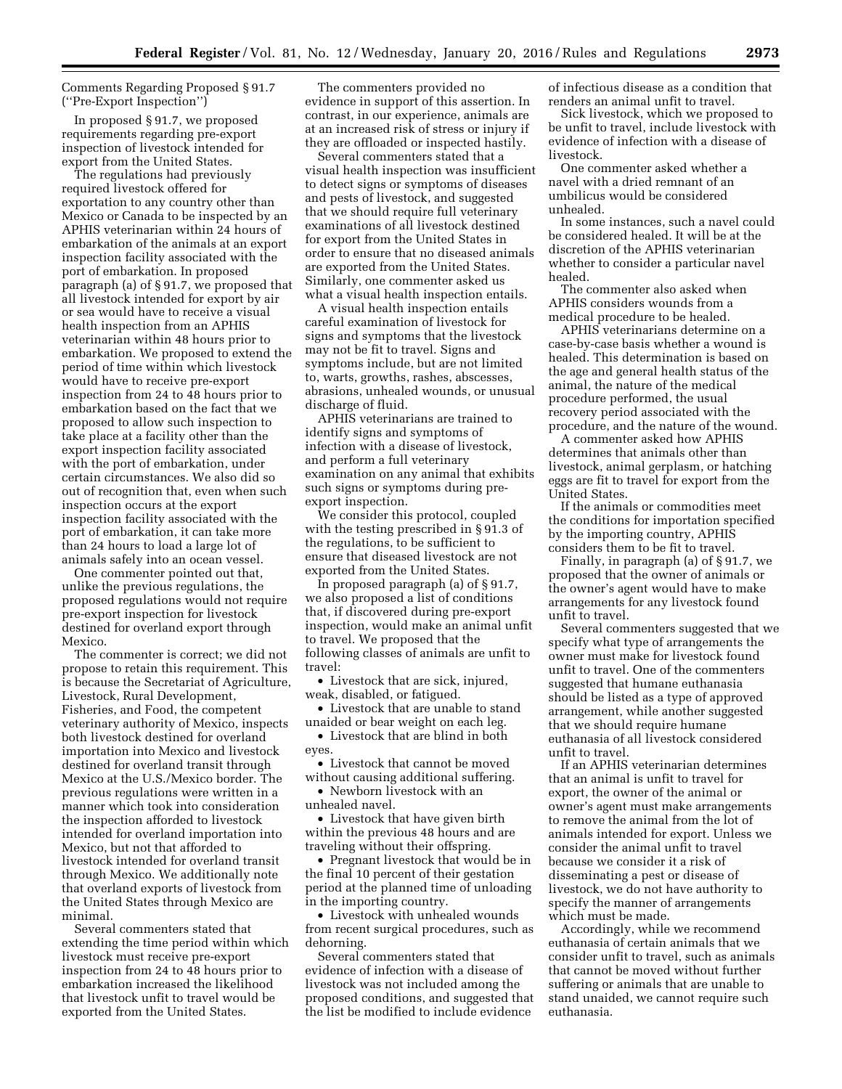## Comments Regarding Proposed § 91.7 (''Pre-Export Inspection'')

In proposed § 91.7, we proposed requirements regarding pre-export inspection of livestock intended for export from the United States.

The regulations had previously required livestock offered for exportation to any country other than Mexico or Canada to be inspected by an APHIS veterinarian within 24 hours of embarkation of the animals at an export inspection facility associated with the port of embarkation. In proposed paragraph (a) of § 91.7, we proposed that all livestock intended for export by air or sea would have to receive a visual health inspection from an APHIS veterinarian within 48 hours prior to embarkation. We proposed to extend the period of time within which livestock would have to receive pre-export inspection from 24 to 48 hours prior to embarkation based on the fact that we proposed to allow such inspection to take place at a facility other than the export inspection facility associated with the port of embarkation, under certain circumstances. We also did so out of recognition that, even when such inspection occurs at the export inspection facility associated with the port of embarkation, it can take more than 24 hours to load a large lot of animals safely into an ocean vessel.

One commenter pointed out that, unlike the previous regulations, the proposed regulations would not require pre-export inspection for livestock destined for overland export through Mexico.

The commenter is correct; we did not propose to retain this requirement. This is because the Secretariat of Agriculture, Livestock, Rural Development, Fisheries, and Food, the competent veterinary authority of Mexico, inspects both livestock destined for overland importation into Mexico and livestock destined for overland transit through Mexico at the U.S./Mexico border. The previous regulations were written in a manner which took into consideration the inspection afforded to livestock intended for overland importation into Mexico, but not that afforded to livestock intended for overland transit through Mexico. We additionally note that overland exports of livestock from the United States through Mexico are minimal.

Several commenters stated that extending the time period within which livestock must receive pre-export inspection from 24 to 48 hours prior to embarkation increased the likelihood that livestock unfit to travel would be exported from the United States.

The commenters provided no evidence in support of this assertion. In contrast, in our experience, animals are at an increased risk of stress or injury if they are offloaded or inspected hastily.

Several commenters stated that a visual health inspection was insufficient to detect signs or symptoms of diseases and pests of livestock, and suggested that we should require full veterinary examinations of all livestock destined for export from the United States in order to ensure that no diseased animals are exported from the United States. Similarly, one commenter asked us what a visual health inspection entails.

A visual health inspection entails careful examination of livestock for signs and symptoms that the livestock may not be fit to travel. Signs and symptoms include, but are not limited to, warts, growths, rashes, abscesses, abrasions, unhealed wounds, or unusual discharge of fluid.

APHIS veterinarians are trained to identify signs and symptoms of infection with a disease of livestock, and perform a full veterinary examination on any animal that exhibits such signs or symptoms during preexport inspection.

We consider this protocol, coupled with the testing prescribed in § 91.3 of the regulations, to be sufficient to ensure that diseased livestock are not exported from the United States.

In proposed paragraph (a) of § 91.7, we also proposed a list of conditions that, if discovered during pre-export inspection, would make an animal unfit to travel. We proposed that the following classes of animals are unfit to travel:

• Livestock that are sick, injured, weak, disabled, or fatigued.

• Livestock that are unable to stand unaided or bear weight on each leg.

• Livestock that are blind in both eyes.

• Livestock that cannot be moved without causing additional suffering.

• Newborn livestock with an unhealed navel.

• Livestock that have given birth within the previous 48 hours and are traveling without their offspring.

• Pregnant livestock that would be in the final 10 percent of their gestation period at the planned time of unloading in the importing country.

• Livestock with unhealed wounds from recent surgical procedures, such as dehorning.

Several commenters stated that evidence of infection with a disease of livestock was not included among the proposed conditions, and suggested that the list be modified to include evidence

of infectious disease as a condition that renders an animal unfit to travel.

Sick livestock, which we proposed to be unfit to travel, include livestock with evidence of infection with a disease of livestock.

One commenter asked whether a navel with a dried remnant of an umbilicus would be considered unhealed.

In some instances, such a navel could be considered healed. It will be at the discretion of the APHIS veterinarian whether to consider a particular navel healed.

The commenter also asked when APHIS considers wounds from a medical procedure to be healed.

APHIS veterinarians determine on a case-by-case basis whether a wound is healed. This determination is based on the age and general health status of the animal, the nature of the medical procedure performed, the usual recovery period associated with the procedure, and the nature of the wound.

A commenter asked how APHIS determines that animals other than livestock, animal gerplasm, or hatching eggs are fit to travel for export from the United States.

If the animals or commodities meet the conditions for importation specified by the importing country, APHIS considers them to be fit to travel.

Finally, in paragraph (a) of § 91.7, we proposed that the owner of animals or the owner's agent would have to make arrangements for any livestock found unfit to travel.

Several commenters suggested that we specify what type of arrangements the owner must make for livestock found unfit to travel. One of the commenters suggested that humane euthanasia should be listed as a type of approved arrangement, while another suggested that we should require humane euthanasia of all livestock considered unfit to travel.

If an APHIS veterinarian determines that an animal is unfit to travel for export, the owner of the animal or owner's agent must make arrangements to remove the animal from the lot of animals intended for export. Unless we consider the animal unfit to travel because we consider it a risk of disseminating a pest or disease of livestock, we do not have authority to specify the manner of arrangements which must be made.

Accordingly, while we recommend euthanasia of certain animals that we consider unfit to travel, such as animals that cannot be moved without further suffering or animals that are unable to stand unaided, we cannot require such euthanasia.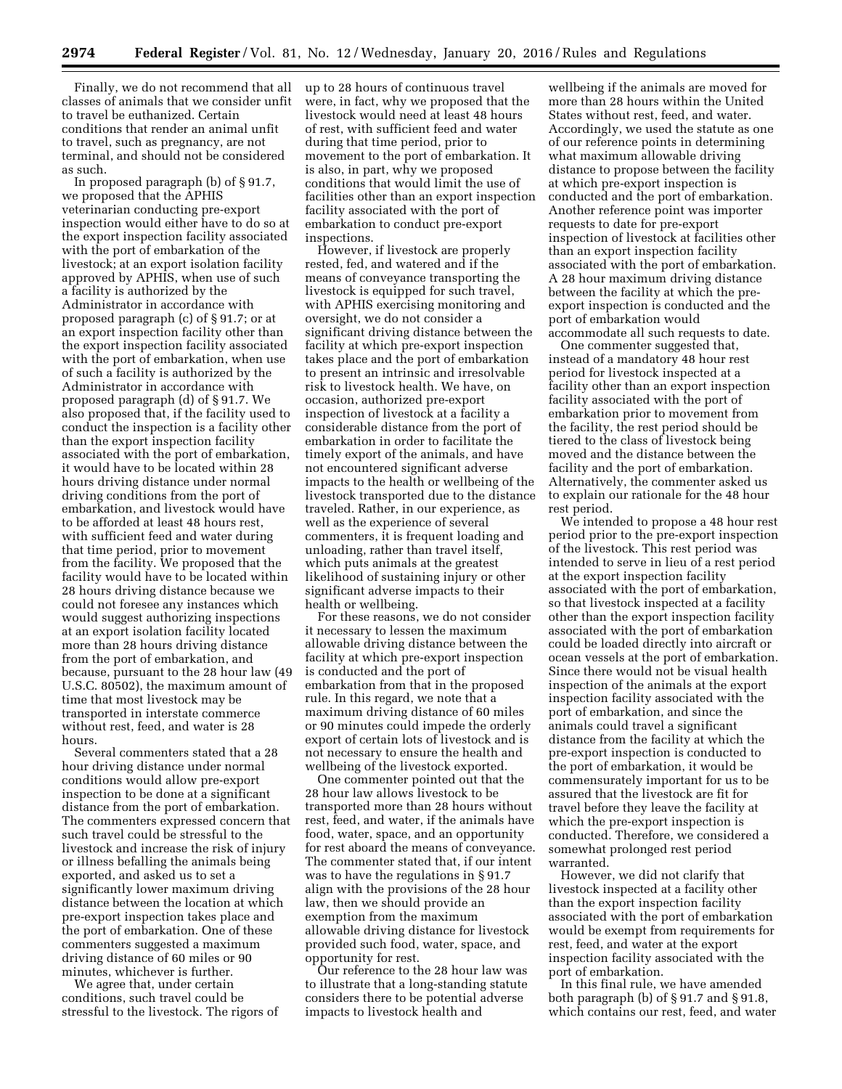Finally, we do not recommend that all classes of animals that we consider unfit to travel be euthanized. Certain conditions that render an animal unfit to travel, such as pregnancy, are not terminal, and should not be considered as such.

In proposed paragraph (b) of § 91.7, we proposed that the APHIS veterinarian conducting pre-export inspection would either have to do so at the export inspection facility associated with the port of embarkation of the livestock; at an export isolation facility approved by APHIS, when use of such a facility is authorized by the Administrator in accordance with proposed paragraph (c) of § 91.7; or at an export inspection facility other than the export inspection facility associated with the port of embarkation, when use of such a facility is authorized by the Administrator in accordance with proposed paragraph (d) of § 91.7. We also proposed that, if the facility used to conduct the inspection is a facility other than the export inspection facility associated with the port of embarkation, it would have to be located within 28 hours driving distance under normal driving conditions from the port of embarkation, and livestock would have to be afforded at least 48 hours rest, with sufficient feed and water during that time period, prior to movement from the facility. We proposed that the facility would have to be located within 28 hours driving distance because we could not foresee any instances which would suggest authorizing inspections at an export isolation facility located more than 28 hours driving distance from the port of embarkation, and because, pursuant to the 28 hour law (49 U.S.C. 80502), the maximum amount of time that most livestock may be transported in interstate commerce without rest, feed, and water is 28 hours.

Several commenters stated that a 28 hour driving distance under normal conditions would allow pre-export inspection to be done at a significant distance from the port of embarkation. The commenters expressed concern that such travel could be stressful to the livestock and increase the risk of injury or illness befalling the animals being exported, and asked us to set a significantly lower maximum driving distance between the location at which pre-export inspection takes place and the port of embarkation. One of these commenters suggested a maximum driving distance of 60 miles or 90 minutes, whichever is further.

We agree that, under certain conditions, such travel could be stressful to the livestock. The rigors of up to 28 hours of continuous travel were, in fact, why we proposed that the livestock would need at least 48 hours of rest, with sufficient feed and water during that time period, prior to movement to the port of embarkation. It is also, in part, why we proposed conditions that would limit the use of facilities other than an export inspection facility associated with the port of embarkation to conduct pre-export inspections.

However, if livestock are properly rested, fed, and watered and if the means of conveyance transporting the livestock is equipped for such travel, with APHIS exercising monitoring and oversight, we do not consider a significant driving distance between the facility at which pre-export inspection takes place and the port of embarkation to present an intrinsic and irresolvable risk to livestock health. We have, on occasion, authorized pre-export inspection of livestock at a facility a considerable distance from the port of embarkation in order to facilitate the timely export of the animals, and have not encountered significant adverse impacts to the health or wellbeing of the livestock transported due to the distance traveled. Rather, in our experience, as well as the experience of several commenters, it is frequent loading and unloading, rather than travel itself, which puts animals at the greatest likelihood of sustaining injury or other significant adverse impacts to their health or wellbeing.

For these reasons, we do not consider it necessary to lessen the maximum allowable driving distance between the facility at which pre-export inspection is conducted and the port of embarkation from that in the proposed rule. In this regard, we note that a maximum driving distance of 60 miles or 90 minutes could impede the orderly export of certain lots of livestock and is not necessary to ensure the health and wellbeing of the livestock exported.

One commenter pointed out that the 28 hour law allows livestock to be transported more than 28 hours without rest, feed, and water, if the animals have food, water, space, and an opportunity for rest aboard the means of conveyance. The commenter stated that, if our intent was to have the regulations in § 91.7 align with the provisions of the 28 hour law, then we should provide an exemption from the maximum allowable driving distance for livestock provided such food, water, space, and opportunity for rest.

Our reference to the 28 hour law was to illustrate that a long-standing statute considers there to be potential adverse impacts to livestock health and

wellbeing if the animals are moved for more than 28 hours within the United States without rest, feed, and water. Accordingly, we used the statute as one of our reference points in determining what maximum allowable driving distance to propose between the facility at which pre-export inspection is conducted and the port of embarkation. Another reference point was importer requests to date for pre-export inspection of livestock at facilities other than an export inspection facility associated with the port of embarkation. A 28 hour maximum driving distance between the facility at which the preexport inspection is conducted and the port of embarkation would accommodate all such requests to date.

One commenter suggested that, instead of a mandatory 48 hour rest period for livestock inspected at a facility other than an export inspection facility associated with the port of embarkation prior to movement from the facility, the rest period should be tiered to the class of livestock being moved and the distance between the facility and the port of embarkation. Alternatively, the commenter asked us to explain our rationale for the 48 hour rest period.

We intended to propose a 48 hour rest period prior to the pre-export inspection of the livestock. This rest period was intended to serve in lieu of a rest period at the export inspection facility associated with the port of embarkation, so that livestock inspected at a facility other than the export inspection facility associated with the port of embarkation could be loaded directly into aircraft or ocean vessels at the port of embarkation. Since there would not be visual health inspection of the animals at the export inspection facility associated with the port of embarkation, and since the animals could travel a significant distance from the facility at which the pre-export inspection is conducted to the port of embarkation, it would be commensurately important for us to be assured that the livestock are fit for travel before they leave the facility at which the pre-export inspection is conducted. Therefore, we considered a somewhat prolonged rest period warranted.

However, we did not clarify that livestock inspected at a facility other than the export inspection facility associated with the port of embarkation would be exempt from requirements for rest, feed, and water at the export inspection facility associated with the port of embarkation.

In this final rule, we have amended both paragraph (b) of § 91.7 and § 91.8, which contains our rest, feed, and water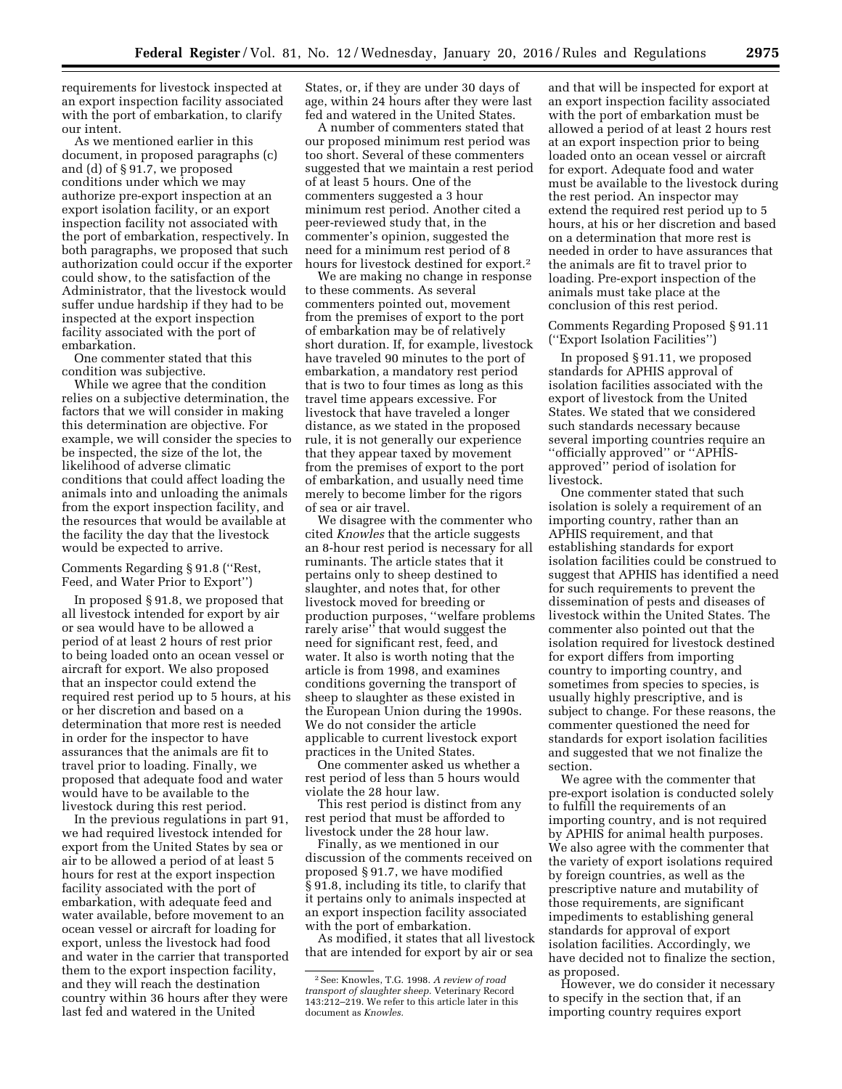requirements for livestock inspected at an export inspection facility associated with the port of embarkation, to clarify our intent.

As we mentioned earlier in this document, in proposed paragraphs (c) and (d) of § 91.7, we proposed conditions under which we may authorize pre-export inspection at an export isolation facility, or an export inspection facility not associated with the port of embarkation, respectively. In both paragraphs, we proposed that such authorization could occur if the exporter could show, to the satisfaction of the Administrator, that the livestock would suffer undue hardship if they had to be inspected at the export inspection facility associated with the port of embarkation.

One commenter stated that this condition was subjective.

While we agree that the condition relies on a subjective determination, the factors that we will consider in making this determination are objective. For example, we will consider the species to be inspected, the size of the lot, the likelihood of adverse climatic conditions that could affect loading the animals into and unloading the animals from the export inspection facility, and the resources that would be available at the facility the day that the livestock would be expected to arrive.

Comments Regarding § 91.8 (''Rest, Feed, and Water Prior to Export'')

In proposed § 91.8, we proposed that all livestock intended for export by air or sea would have to be allowed a period of at least 2 hours of rest prior to being loaded onto an ocean vessel or aircraft for export. We also proposed that an inspector could extend the required rest period up to 5 hours, at his or her discretion and based on a determination that more rest is needed in order for the inspector to have assurances that the animals are fit to travel prior to loading. Finally, we proposed that adequate food and water would have to be available to the livestock during this rest period.

In the previous regulations in part 91, we had required livestock intended for export from the United States by sea or air to be allowed a period of at least 5 hours for rest at the export inspection facility associated with the port of embarkation, with adequate feed and water available, before movement to an ocean vessel or aircraft for loading for export, unless the livestock had food and water in the carrier that transported them to the export inspection facility, and they will reach the destination country within 36 hours after they were last fed and watered in the United

States, or, if they are under 30 days of age, within 24 hours after they were last fed and watered in the United States.

A number of commenters stated that our proposed minimum rest period was too short. Several of these commenters suggested that we maintain a rest period of at least 5 hours. One of the commenters suggested a 3 hour minimum rest period. Another cited a peer-reviewed study that, in the commenter's opinion, suggested the need for a minimum rest period of 8 hours for livestock destined for export.2

We are making no change in response to these comments. As several commenters pointed out, movement from the premises of export to the port of embarkation may be of relatively short duration. If, for example, livestock have traveled 90 minutes to the port of embarkation, a mandatory rest period that is two to four times as long as this travel time appears excessive. For livestock that have traveled a longer distance, as we stated in the proposed rule, it is not generally our experience that they appear taxed by movement from the premises of export to the port of embarkation, and usually need time merely to become limber for the rigors of sea or air travel.

We disagree with the commenter who cited *Knowles* that the article suggests an 8-hour rest period is necessary for all ruminants. The article states that it pertains only to sheep destined to slaughter, and notes that, for other livestock moved for breeding or production purposes, ''welfare problems rarely arise'' that would suggest the need for significant rest, feed, and water. It also is worth noting that the article is from 1998, and examines conditions governing the transport of sheep to slaughter as these existed in the European Union during the 1990s. We do not consider the article applicable to current livestock export practices in the United States.

One commenter asked us whether a rest period of less than 5 hours would violate the 28 hour law.

This rest period is distinct from any rest period that must be afforded to livestock under the 28 hour law.

Finally, as we mentioned in our discussion of the comments received on proposed § 91.7, we have modified § 91.8, including its title, to clarify that it pertains only to animals inspected at an export inspection facility associated with the port of embarkation.

As modified, it states that all livestock that are intended for export by air or sea

and that will be inspected for export at an export inspection facility associated with the port of embarkation must be allowed a period of at least 2 hours rest at an export inspection prior to being loaded onto an ocean vessel or aircraft for export. Adequate food and water must be available to the livestock during the rest period. An inspector may extend the required rest period up to 5 hours, at his or her discretion and based on a determination that more rest is needed in order to have assurances that the animals are fit to travel prior to loading. Pre-export inspection of the animals must take place at the conclusion of this rest period.

Comments Regarding Proposed § 91.11 (''Export Isolation Facilities'')

In proposed § 91.11, we proposed standards for APHIS approval of isolation facilities associated with the export of livestock from the United States. We stated that we considered such standards necessary because several importing countries require an ''officially approved'' or ''APHISapproved'' period of isolation for livestock.

One commenter stated that such isolation is solely a requirement of an importing country, rather than an APHIS requirement, and that establishing standards for export isolation facilities could be construed to suggest that APHIS has identified a need for such requirements to prevent the dissemination of pests and diseases of livestock within the United States. The commenter also pointed out that the isolation required for livestock destined for export differs from importing country to importing country, and sometimes from species to species, is usually highly prescriptive, and is subject to change. For these reasons, the commenter questioned the need for standards for export isolation facilities and suggested that we not finalize the section.

We agree with the commenter that pre-export isolation is conducted solely to fulfill the requirements of an importing country, and is not required by APHIS for animal health purposes. We also agree with the commenter that the variety of export isolations required by foreign countries, as well as the prescriptive nature and mutability of those requirements, are significant impediments to establishing general standards for approval of export isolation facilities. Accordingly, we have decided not to finalize the section, as proposed.

However, we do consider it necessary to specify in the section that, if an importing country requires export

<sup>2</sup>See: Knowles, T.G. 1998. *A review of road transport of slaughter sheep.* Veterinary Record 143:212–219. We refer to this article later in this document as *Knowles.*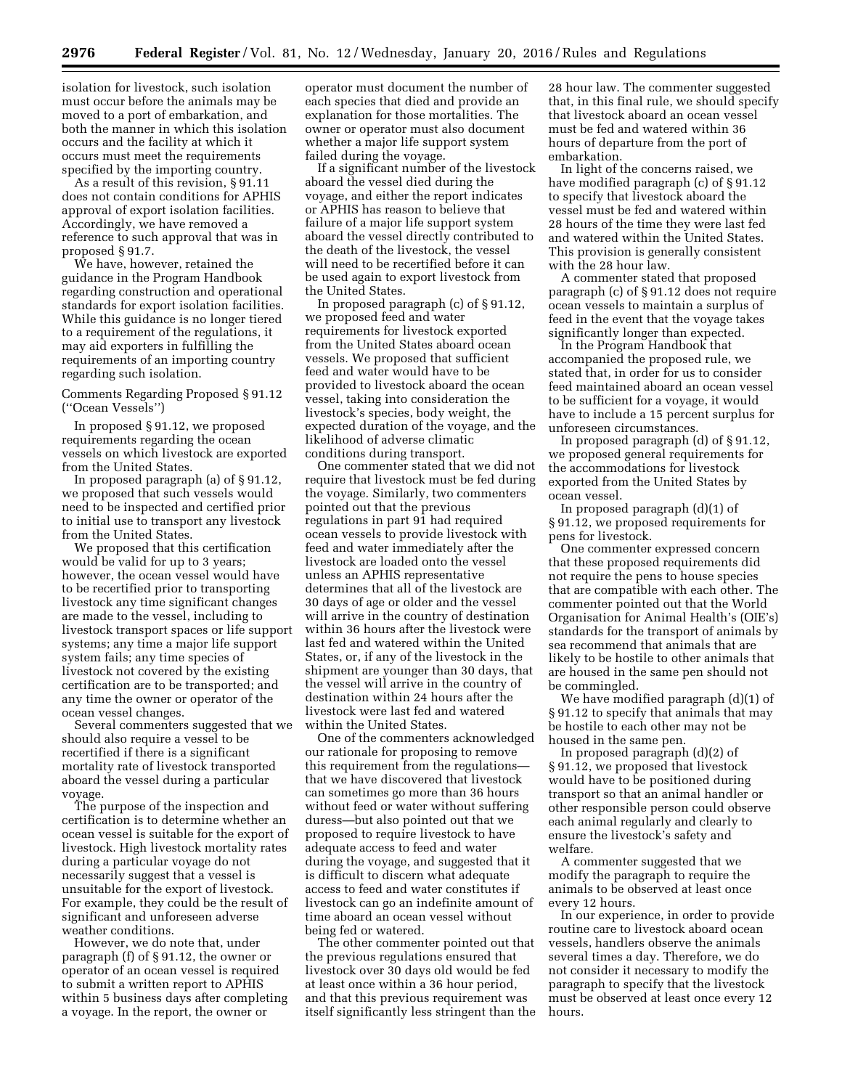isolation for livestock, such isolation must occur before the animals may be moved to a port of embarkation, and both the manner in which this isolation occurs and the facility at which it occurs must meet the requirements specified by the importing country.

As a result of this revision, § 91.11 does not contain conditions for APHIS approval of export isolation facilities. Accordingly, we have removed a reference to such approval that was in proposed § 91.7.

We have, however, retained the guidance in the Program Handbook regarding construction and operational standards for export isolation facilities. While this guidance is no longer tiered to a requirement of the regulations, it may aid exporters in fulfilling the requirements of an importing country regarding such isolation.

Comments Regarding Proposed § 91.12 (''Ocean Vessels'')

In proposed § 91.12, we proposed requirements regarding the ocean vessels on which livestock are exported from the United States.

In proposed paragraph (a) of § 91.12, we proposed that such vessels would need to be inspected and certified prior to initial use to transport any livestock from the United States.

We proposed that this certification would be valid for up to 3 years; however, the ocean vessel would have to be recertified prior to transporting livestock any time significant changes are made to the vessel, including to livestock transport spaces or life support systems; any time a major life support system fails; any time species of livestock not covered by the existing certification are to be transported; and any time the owner or operator of the ocean vessel changes.

Several commenters suggested that we should also require a vessel to be recertified if there is a significant mortality rate of livestock transported aboard the vessel during a particular voyage.

The purpose of the inspection and certification is to determine whether an ocean vessel is suitable for the export of livestock. High livestock mortality rates during a particular voyage do not necessarily suggest that a vessel is unsuitable for the export of livestock. For example, they could be the result of significant and unforeseen adverse weather conditions.

However, we do note that, under paragraph (f) of § 91.12, the owner or operator of an ocean vessel is required to submit a written report to APHIS within 5 business days after completing a voyage. In the report, the owner or

operator must document the number of each species that died and provide an explanation for those mortalities. The owner or operator must also document whether a major life support system failed during the voyage.

If a significant number of the livestock aboard the vessel died during the voyage, and either the report indicates or APHIS has reason to believe that failure of a major life support system aboard the vessel directly contributed to the death of the livestock, the vessel will need to be recertified before it can be used again to export livestock from the United States.

In proposed paragraph (c) of § 91.12, we proposed feed and water requirements for livestock exported from the United States aboard ocean vessels. We proposed that sufficient feed and water would have to be provided to livestock aboard the ocean vessel, taking into consideration the livestock's species, body weight, the expected duration of the voyage, and the likelihood of adverse climatic conditions during transport.

One commenter stated that we did not require that livestock must be fed during the voyage. Similarly, two commenters pointed out that the previous regulations in part 91 had required ocean vessels to provide livestock with feed and water immediately after the livestock are loaded onto the vessel unless an APHIS representative determines that all of the livestock are 30 days of age or older and the vessel will arrive in the country of destination within 36 hours after the livestock were last fed and watered within the United States, or, if any of the livestock in the shipment are younger than 30 days, that the vessel will arrive in the country of destination within 24 hours after the livestock were last fed and watered within the United States.

One of the commenters acknowledged our rationale for proposing to remove this requirement from the regulations that we have discovered that livestock can sometimes go more than 36 hours without feed or water without suffering duress—but also pointed out that we proposed to require livestock to have adequate access to feed and water during the voyage, and suggested that it is difficult to discern what adequate access to feed and water constitutes if livestock can go an indefinite amount of time aboard an ocean vessel without being fed or watered.

The other commenter pointed out that the previous regulations ensured that livestock over 30 days old would be fed at least once within a 36 hour period, and that this previous requirement was itself significantly less stringent than the

28 hour law. The commenter suggested that, in this final rule, we should specify that livestock aboard an ocean vessel must be fed and watered within 36 hours of departure from the port of embarkation.

In light of the concerns raised, we have modified paragraph (c) of § 91.12 to specify that livestock aboard the vessel must be fed and watered within 28 hours of the time they were last fed and watered within the United States. This provision is generally consistent with the 28 hour law.

A commenter stated that proposed paragraph (c) of § 91.12 does not require ocean vessels to maintain a surplus of feed in the event that the voyage takes significantly longer than expected.

In the Program Handbook that accompanied the proposed rule, we stated that, in order for us to consider feed maintained aboard an ocean vessel to be sufficient for a voyage, it would have to include a 15 percent surplus for unforeseen circumstances.

In proposed paragraph (d) of § 91.12, we proposed general requirements for the accommodations for livestock exported from the United States by ocean vessel.

In proposed paragraph (d)(1) of § 91.12, we proposed requirements for pens for livestock.

One commenter expressed concern that these proposed requirements did not require the pens to house species that are compatible with each other. The commenter pointed out that the World Organisation for Animal Health's (OIE's) standards for the transport of animals by sea recommend that animals that are likely to be hostile to other animals that are housed in the same pen should not be commingled.

We have modified paragraph (d)(1) of § 91.12 to specify that animals that may be hostile to each other may not be housed in the same pen.

In proposed paragraph (d)(2) of § 91.12, we proposed that livestock would have to be positioned during transport so that an animal handler or other responsible person could observe each animal regularly and clearly to ensure the livestock's safety and welfare.

A commenter suggested that we modify the paragraph to require the animals to be observed at least once every 12 hours.

In our experience, in order to provide routine care to livestock aboard ocean vessels, handlers observe the animals several times a day. Therefore, we do not consider it necessary to modify the paragraph to specify that the livestock must be observed at least once every 12 hours.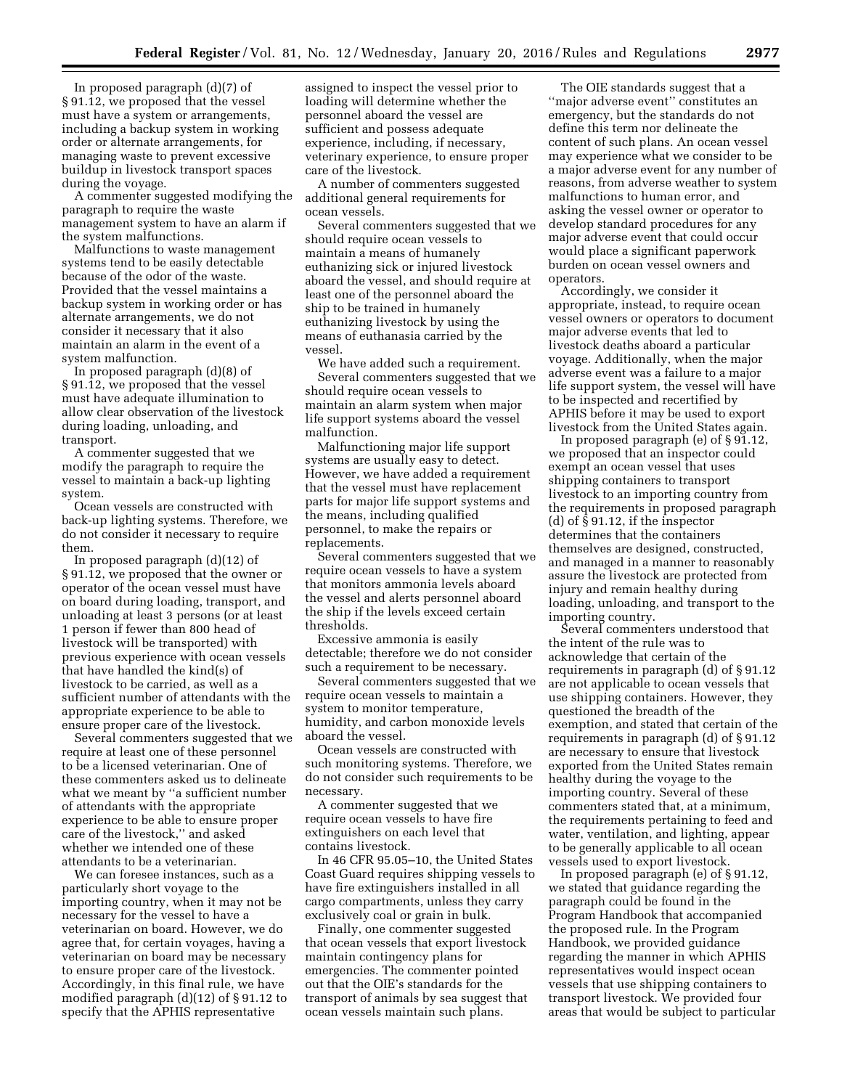In proposed paragraph (d)(7) of § 91.12, we proposed that the vessel must have a system or arrangements, including a backup system in working order or alternate arrangements, for managing waste to prevent excessive buildup in livestock transport spaces during the voyage.

A commenter suggested modifying the paragraph to require the waste management system to have an alarm if the system malfunctions.

Malfunctions to waste management systems tend to be easily detectable because of the odor of the waste. Provided that the vessel maintains a backup system in working order or has alternate arrangements, we do not consider it necessary that it also maintain an alarm in the event of a system malfunction.

In proposed paragraph (d)(8) of § 91.12, we proposed that the vessel must have adequate illumination to allow clear observation of the livestock during loading, unloading, and transport.

A commenter suggested that we modify the paragraph to require the vessel to maintain a back-up lighting system.

Ocean vessels are constructed with back-up lighting systems. Therefore, we do not consider it necessary to require them.

In proposed paragraph (d)(12) of § 91.12, we proposed that the owner or operator of the ocean vessel must have on board during loading, transport, and unloading at least 3 persons (or at least 1 person if fewer than 800 head of livestock will be transported) with previous experience with ocean vessels that have handled the kind(s) of livestock to be carried, as well as a sufficient number of attendants with the appropriate experience to be able to ensure proper care of the livestock.

Several commenters suggested that we require at least one of these personnel to be a licensed veterinarian. One of these commenters asked us to delineate what we meant by ''a sufficient number of attendants with the appropriate experience to be able to ensure proper care of the livestock,'' and asked whether we intended one of these attendants to be a veterinarian.

We can foresee instances, such as a particularly short voyage to the importing country, when it may not be necessary for the vessel to have a veterinarian on board. However, we do agree that, for certain voyages, having a veterinarian on board may be necessary to ensure proper care of the livestock. Accordingly, in this final rule, we have modified paragraph (d)(12) of § 91.12 to specify that the APHIS representative

assigned to inspect the vessel prior to loading will determine whether the personnel aboard the vessel are sufficient and possess adequate experience, including, if necessary, veterinary experience, to ensure proper care of the livestock.

A number of commenters suggested additional general requirements for ocean vessels.

Several commenters suggested that we should require ocean vessels to maintain a means of humanely euthanizing sick or injured livestock aboard the vessel, and should require at least one of the personnel aboard the ship to be trained in humanely euthanizing livestock by using the means of euthanasia carried by the vessel.

We have added such a requirement. Several commenters suggested that we should require ocean vessels to maintain an alarm system when major life support systems aboard the vessel malfunction.

Malfunctioning major life support systems are usually easy to detect. However, we have added a requirement that the vessel must have replacement parts for major life support systems and the means, including qualified personnel, to make the repairs or replacements.

Several commenters suggested that we require ocean vessels to have a system that monitors ammonia levels aboard the vessel and alerts personnel aboard the ship if the levels exceed certain thresholds.

Excessive ammonia is easily detectable; therefore we do not consider such a requirement to be necessary.

Several commenters suggested that we require ocean vessels to maintain a system to monitor temperature, humidity, and carbon monoxide levels aboard the vessel.

Ocean vessels are constructed with such monitoring systems. Therefore, we do not consider such requirements to be necessary.

A commenter suggested that we require ocean vessels to have fire extinguishers on each level that contains livestock.

In 46 CFR 95.05–10, the United States Coast Guard requires shipping vessels to have fire extinguishers installed in all cargo compartments, unless they carry exclusively coal or grain in bulk.

Finally, one commenter suggested that ocean vessels that export livestock maintain contingency plans for emergencies. The commenter pointed out that the OIE's standards for the transport of animals by sea suggest that ocean vessels maintain such plans.

The OIE standards suggest that a ''major adverse event'' constitutes an emergency, but the standards do not define this term nor delineate the content of such plans. An ocean vessel may experience what we consider to be a major adverse event for any number of reasons, from adverse weather to system malfunctions to human error, and asking the vessel owner or operator to develop standard procedures for any major adverse event that could occur would place a significant paperwork burden on ocean vessel owners and operators.

Accordingly, we consider it appropriate, instead, to require ocean vessel owners or operators to document major adverse events that led to livestock deaths aboard a particular voyage. Additionally, when the major adverse event was a failure to a major life support system, the vessel will have to be inspected and recertified by APHIS before it may be used to export livestock from the United States again.

In proposed paragraph (e) of  $\S 91.12$ , we proposed that an inspector could exempt an ocean vessel that uses shipping containers to transport livestock to an importing country from the requirements in proposed paragraph (d) of § 91.12, if the inspector determines that the containers themselves are designed, constructed, and managed in a manner to reasonably assure the livestock are protected from injury and remain healthy during loading, unloading, and transport to the importing country.

Several commenters understood that the intent of the rule was to acknowledge that certain of the requirements in paragraph (d) of § 91.12 are not applicable to ocean vessels that use shipping containers. However, they questioned the breadth of the exemption, and stated that certain of the requirements in paragraph (d) of § 91.12 are necessary to ensure that livestock exported from the United States remain healthy during the voyage to the importing country. Several of these commenters stated that, at a minimum, the requirements pertaining to feed and water, ventilation, and lighting, appear to be generally applicable to all ocean vessels used to export livestock.

In proposed paragraph (e) of § 91.12, we stated that guidance regarding the paragraph could be found in the Program Handbook that accompanied the proposed rule. In the Program Handbook, we provided guidance regarding the manner in which APHIS representatives would inspect ocean vessels that use shipping containers to transport livestock. We provided four areas that would be subject to particular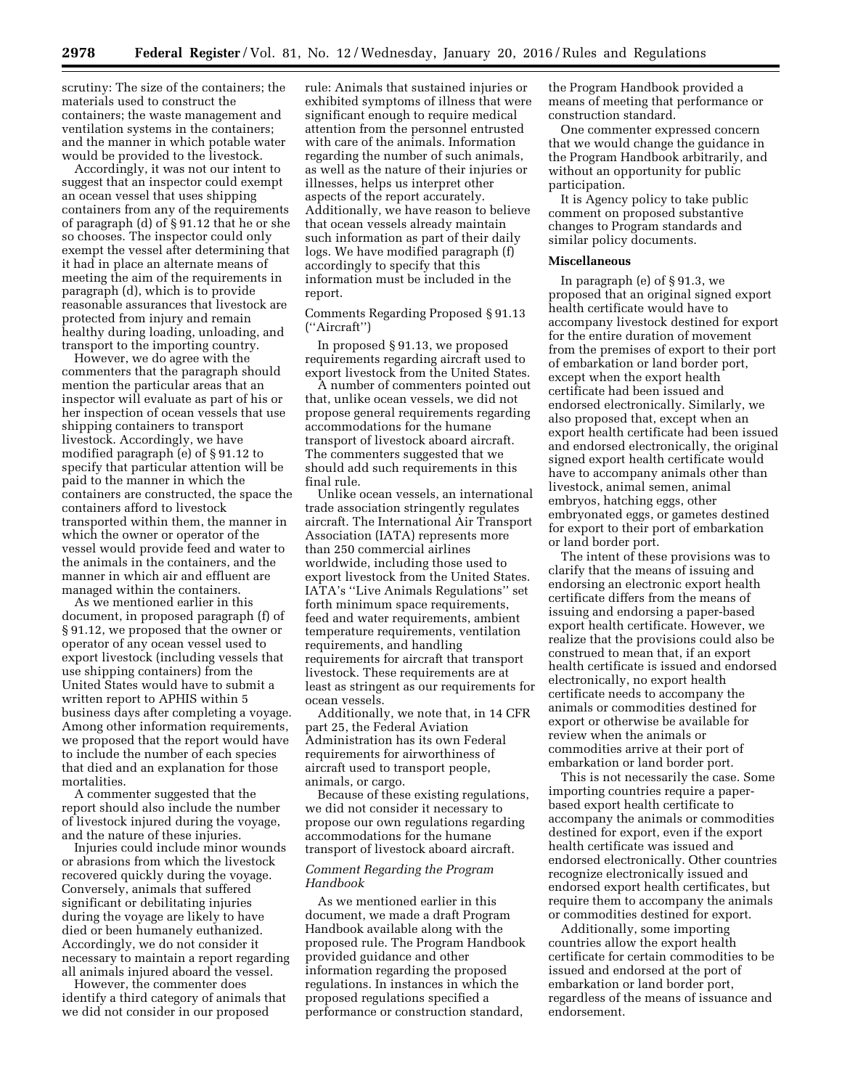scrutiny: The size of the containers; the materials used to construct the containers; the waste management and ventilation systems in the containers; and the manner in which potable water would be provided to the livestock.

Accordingly, it was not our intent to suggest that an inspector could exempt an ocean vessel that uses shipping containers from any of the requirements of paragraph (d) of § 91.12 that he or she so chooses. The inspector could only exempt the vessel after determining that it had in place an alternate means of meeting the aim of the requirements in paragraph (d), which is to provide reasonable assurances that livestock are protected from injury and remain healthy during loading, unloading, and transport to the importing country.

However, we do agree with the commenters that the paragraph should mention the particular areas that an inspector will evaluate as part of his or her inspection of ocean vessels that use shipping containers to transport livestock. Accordingly, we have modified paragraph (e) of § 91.12 to specify that particular attention will be paid to the manner in which the containers are constructed, the space the containers afford to livestock transported within them, the manner in which the owner or operator of the vessel would provide feed and water to the animals in the containers, and the manner in which air and effluent are managed within the containers.

As we mentioned earlier in this document, in proposed paragraph (f) of § 91.12, we proposed that the owner or operator of any ocean vessel used to export livestock (including vessels that use shipping containers) from the United States would have to submit a written report to APHIS within 5 business days after completing a voyage. Among other information requirements, we proposed that the report would have to include the number of each species that died and an explanation for those mortalities.

A commenter suggested that the report should also include the number of livestock injured during the voyage, and the nature of these injuries.

Injuries could include minor wounds or abrasions from which the livestock recovered quickly during the voyage. Conversely, animals that suffered significant or debilitating injuries during the voyage are likely to have died or been humanely euthanized. Accordingly, we do not consider it necessary to maintain a report regarding all animals injured aboard the vessel.

However, the commenter does identify a third category of animals that we did not consider in our proposed

rule: Animals that sustained injuries or exhibited symptoms of illness that were significant enough to require medical attention from the personnel entrusted with care of the animals. Information regarding the number of such animals, as well as the nature of their injuries or illnesses, helps us interpret other aspects of the report accurately. Additionally, we have reason to believe that ocean vessels already maintain such information as part of their daily logs. We have modified paragraph (f) accordingly to specify that this information must be included in the report.

Comments Regarding Proposed § 91.13 (''Aircraft'')

In proposed § 91.13, we proposed requirements regarding aircraft used to export livestock from the United States.

A number of commenters pointed out that, unlike ocean vessels, we did not propose general requirements regarding accommodations for the humane transport of livestock aboard aircraft. The commenters suggested that we should add such requirements in this final rule.

Unlike ocean vessels, an international trade association stringently regulates aircraft. The International Air Transport Association (IATA) represents more than 250 commercial airlines worldwide, including those used to export livestock from the United States. IATA's ''Live Animals Regulations'' set forth minimum space requirements, feed and water requirements, ambient temperature requirements, ventilation requirements, and handling requirements for aircraft that transport livestock. These requirements are at least as stringent as our requirements for ocean vessels.

Additionally, we note that, in 14 CFR part 25, the Federal Aviation Administration has its own Federal requirements for airworthiness of aircraft used to transport people, animals, or cargo.

Because of these existing regulations, we did not consider it necessary to propose our own regulations regarding accommodations for the humane transport of livestock aboard aircraft.

## *Comment Regarding the Program Handbook*

As we mentioned earlier in this document, we made a draft Program Handbook available along with the proposed rule. The Program Handbook provided guidance and other information regarding the proposed regulations. In instances in which the proposed regulations specified a performance or construction standard,

the Program Handbook provided a means of meeting that performance or construction standard.

One commenter expressed concern that we would change the guidance in the Program Handbook arbitrarily, and without an opportunity for public participation.

It is Agency policy to take public comment on proposed substantive changes to Program standards and similar policy documents.

## **Miscellaneous**

In paragraph (e) of § 91.3, we proposed that an original signed export health certificate would have to accompany livestock destined for export for the entire duration of movement from the premises of export to their port of embarkation or land border port, except when the export health certificate had been issued and endorsed electronically. Similarly, we also proposed that, except when an export health certificate had been issued and endorsed electronically, the original signed export health certificate would have to accompany animals other than livestock, animal semen, animal embryos, hatching eggs, other embryonated eggs, or gametes destined for export to their port of embarkation or land border port.

The intent of these provisions was to clarify that the means of issuing and endorsing an electronic export health certificate differs from the means of issuing and endorsing a paper-based export health certificate. However, we realize that the provisions could also be construed to mean that, if an export health certificate is issued and endorsed electronically, no export health certificate needs to accompany the animals or commodities destined for export or otherwise be available for review when the animals or commodities arrive at their port of embarkation or land border port.

This is not necessarily the case. Some importing countries require a paperbased export health certificate to accompany the animals or commodities destined for export, even if the export health certificate was issued and endorsed electronically. Other countries recognize electronically issued and endorsed export health certificates, but require them to accompany the animals or commodities destined for export.

Additionally, some importing countries allow the export health certificate for certain commodities to be issued and endorsed at the port of embarkation or land border port, regardless of the means of issuance and endorsement.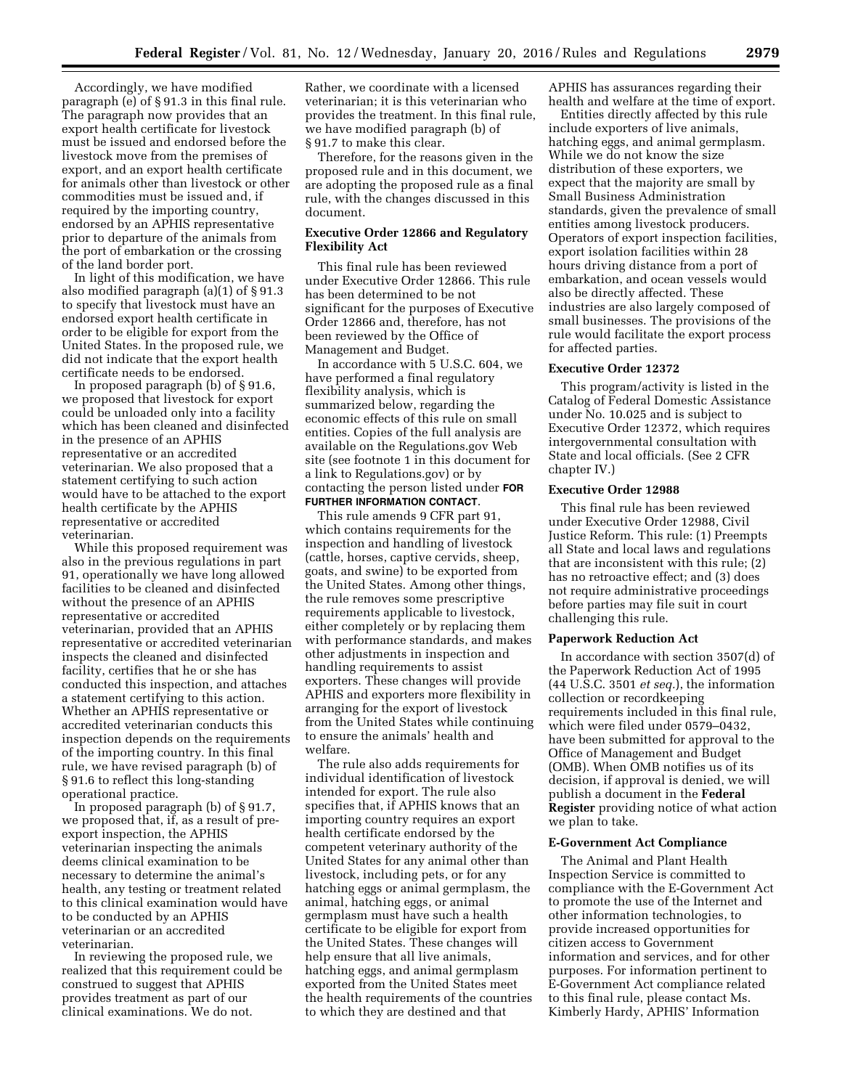Accordingly, we have modified paragraph (e) of § 91.3 in this final rule. The paragraph now provides that an export health certificate for livestock must be issued and endorsed before the livestock move from the premises of export, and an export health certificate for animals other than livestock or other commodities must be issued and, if required by the importing country, endorsed by an APHIS representative prior to departure of the animals from the port of embarkation or the crossing of the land border port.

In light of this modification, we have also modified paragraph (a)(1) of § 91.3 to specify that livestock must have an endorsed export health certificate in order to be eligible for export from the United States. In the proposed rule, we did not indicate that the export health certificate needs to be endorsed.

In proposed paragraph (b) of § 91.6, we proposed that livestock for export could be unloaded only into a facility which has been cleaned and disinfected in the presence of an APHIS representative or an accredited veterinarian. We also proposed that a statement certifying to such action would have to be attached to the export health certificate by the APHIS representative or accredited veterinarian.

While this proposed requirement was also in the previous regulations in part 91, operationally we have long allowed facilities to be cleaned and disinfected without the presence of an APHIS representative or accredited veterinarian, provided that an APHIS representative or accredited veterinarian inspects the cleaned and disinfected facility, certifies that he or she has conducted this inspection, and attaches a statement certifying to this action. Whether an APHIS representative or accredited veterinarian conducts this inspection depends on the requirements of the importing country. In this final rule, we have revised paragraph (b) of § 91.6 to reflect this long-standing operational practice.

In proposed paragraph (b) of § 91.7, we proposed that, if, as a result of preexport inspection, the APHIS veterinarian inspecting the animals deems clinical examination to be necessary to determine the animal's health, any testing or treatment related to this clinical examination would have to be conducted by an APHIS veterinarian or an accredited veterinarian.

In reviewing the proposed rule, we realized that this requirement could be construed to suggest that APHIS provides treatment as part of our clinical examinations. We do not.

Rather, we coordinate with a licensed veterinarian; it is this veterinarian who provides the treatment. In this final rule, we have modified paragraph (b) of § 91.7 to make this clear.

Therefore, for the reasons given in the proposed rule and in this document, we are adopting the proposed rule as a final rule, with the changes discussed in this document.

## **Executive Order 12866 and Regulatory Flexibility Act**

This final rule has been reviewed under Executive Order 12866. This rule has been determined to be not significant for the purposes of Executive Order 12866 and, therefore, has not been reviewed by the Office of Management and Budget.

In accordance with 5 U.S.C. 604, we have performed a final regulatory flexibility analysis, which is summarized below, regarding the economic effects of this rule on small entities. Copies of the full analysis are available on the Regulations.gov Web site (see footnote 1 in this document for a link to Regulations.gov) or by contacting the person listed under **FOR FURTHER INFORMATION CONTACT**.

This rule amends 9 CFR part 91, which contains requirements for the inspection and handling of livestock (cattle, horses, captive cervids, sheep, goats, and swine) to be exported from the United States. Among other things, the rule removes some prescriptive requirements applicable to livestock, either completely or by replacing them with performance standards, and makes other adjustments in inspection and handling requirements to assist exporters. These changes will provide APHIS and exporters more flexibility in arranging for the export of livestock from the United States while continuing to ensure the animals' health and welfare.

The rule also adds requirements for individual identification of livestock intended for export. The rule also specifies that, if APHIS knows that an importing country requires an export health certificate endorsed by the competent veterinary authority of the United States for any animal other than livestock, including pets, or for any hatching eggs or animal germplasm, the animal, hatching eggs, or animal germplasm must have such a health certificate to be eligible for export from the United States. These changes will help ensure that all live animals, hatching eggs, and animal germplasm exported from the United States meet the health requirements of the countries to which they are destined and that

APHIS has assurances regarding their health and welfare at the time of export.

Entities directly affected by this rule include exporters of live animals, hatching eggs, and animal germplasm. While we do not know the size distribution of these exporters, we expect that the majority are small by Small Business Administration standards, given the prevalence of small entities among livestock producers. Operators of export inspection facilities, export isolation facilities within 28 hours driving distance from a port of embarkation, and ocean vessels would also be directly affected. These industries are also largely composed of small businesses. The provisions of the rule would facilitate the export process for affected parties.

#### **Executive Order 12372**

This program/activity is listed in the Catalog of Federal Domestic Assistance under No. 10.025 and is subject to Executive Order 12372, which requires intergovernmental consultation with State and local officials. (See 2 CFR chapter IV.)

## **Executive Order 12988**

This final rule has been reviewed under Executive Order 12988, Civil Justice Reform. This rule: (1) Preempts all State and local laws and regulations that are inconsistent with this rule; (2) has no retroactive effect; and (3) does not require administrative proceedings before parties may file suit in court challenging this rule.

#### **Paperwork Reduction Act**

In accordance with section 3507(d) of the Paperwork Reduction Act of 1995 (44 U.S.C. 3501 *et seq.*), the information collection or recordkeeping requirements included in this final rule, which were filed under 0579–0432, have been submitted for approval to the Office of Management and Budget (OMB). When OMB notifies us of its decision, if approval is denied, we will publish a document in the **Federal Register** providing notice of what action we plan to take.

#### **E-Government Act Compliance**

The Animal and Plant Health Inspection Service is committed to compliance with the E-Government Act to promote the use of the Internet and other information technologies, to provide increased opportunities for citizen access to Government information and services, and for other purposes. For information pertinent to E-Government Act compliance related to this final rule, please contact Ms. Kimberly Hardy, APHIS' Information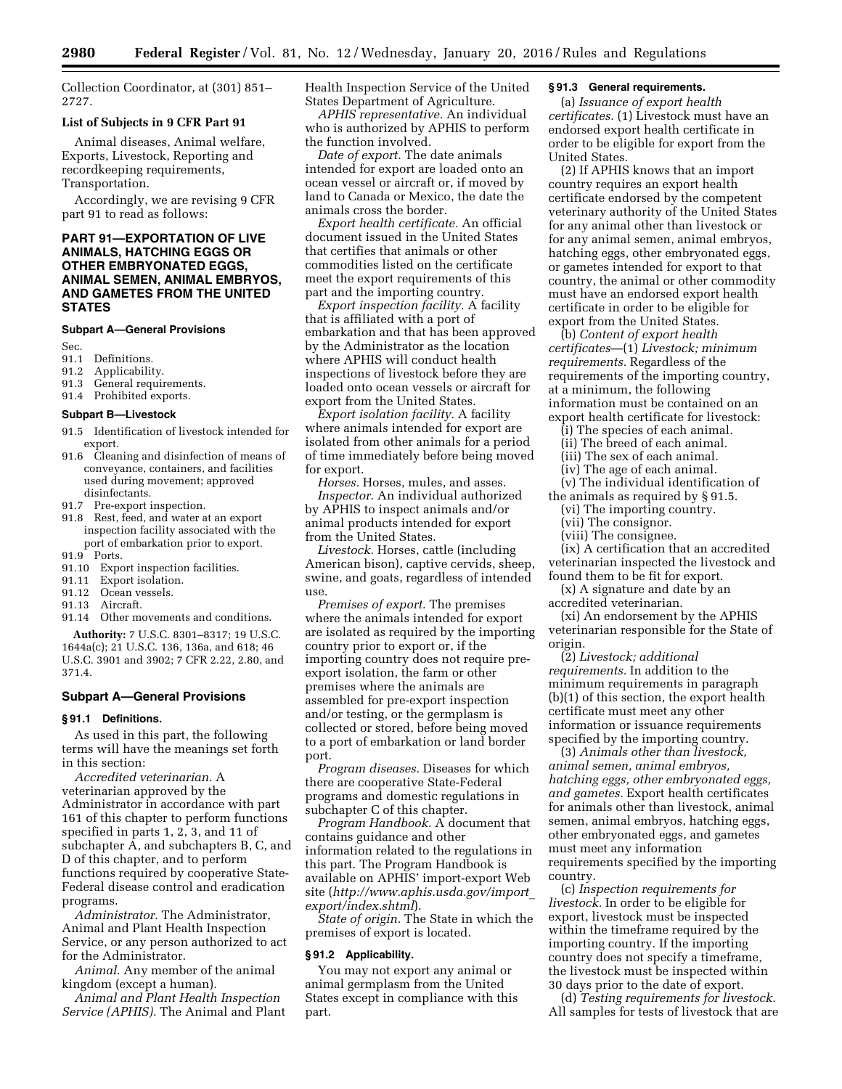Collection Coordinator, at (301) 851– 2727.

#### **List of Subjects in 9 CFR Part 91**

Animal diseases, Animal welfare, Exports, Livestock, Reporting and recordkeeping requirements, Transportation.

Accordingly, we are revising 9 CFR part 91 to read as follows:

## **PART 91—EXPORTATION OF LIVE ANIMALS, HATCHING EGGS OR OTHER EMBRYONATED EGGS, ANIMAL SEMEN, ANIMAL EMBRYOS, AND GAMETES FROM THE UNITED STATES**

#### **Subpart A—General Provisions**

Sec.<br>91.1

- 91.1 Definitions.<br>91.2 Applicabilit
- 91.2 Applicability.<br>91.3 General require
- General requirements.
- 91.4 Prohibited exports.

#### **Subpart B—Livestock**

- 91.5 Identification of livestock intended for export.
- 91.6 Cleaning and disinfection of means of conveyance, containers, and facilities used during movement; approved disinfectants.
- 91.7 Pre-export inspection.
- 91.8 Rest, feed, and water at an export inspection facility associated with the port of embarkation prior to export.
- 91.9 Ports.
- 91.10 Export inspection facilities. 91.11 Export isolation.
- 91.12 Ocean vessels.
- 
- 91.13 Aircraft.<br>91.14 Other m Other movements and conditions.

**Authority:** 7 U.S.C. 8301–8317; 19 U.S.C. 1644a(c); 21 U.S.C. 136, 136a, and 618; 46 U.S.C. 3901 and 3902; 7 CFR 2.22, 2.80, and 371.4.

## **Subpart A—General Provisions**

## **§ 91.1 Definitions.**

As used in this part, the following terms will have the meanings set forth in this section:

*Accredited veterinarian.* A veterinarian approved by the Administrator in accordance with part 161 of this chapter to perform functions specified in parts 1, 2, 3, and 11 of subchapter A, and subchapters B, C, and D of this chapter, and to perform functions required by cooperative State-Federal disease control and eradication programs.

*Administrator.* The Administrator, Animal and Plant Health Inspection Service, or any person authorized to act for the Administrator.

*Animal.* Any member of the animal kingdom (except a human).

*Animal and Plant Health Inspection Service (APHIS).* The Animal and Plant Health Inspection Service of the United States Department of Agriculture.

*APHIS representative.* An individual who is authorized by APHIS to perform the function involved.

*Date of export.* The date animals intended for export are loaded onto an ocean vessel or aircraft or, if moved by land to Canada or Mexico, the date the animals cross the border.

*Export health certificate.* An official document issued in the United States that certifies that animals or other commodities listed on the certificate meet the export requirements of this part and the importing country.

*Export inspection facility.* A facility that is affiliated with a port of embarkation and that has been approved by the Administrator as the location where APHIS will conduct health inspections of livestock before they are loaded onto ocean vessels or aircraft for export from the United States.

*Export isolation facility.* A facility where animals intended for export are isolated from other animals for a period of time immediately before being moved for export.

*Horses.* Horses, mules, and asses. *Inspector.* An individual authorized by APHIS to inspect animals and/or animal products intended for export from the United States.

*Livestock.* Horses, cattle (including American bison), captive cervids, sheep, swine, and goats, regardless of intended use.

*Premises of export.* The premises where the animals intended for export are isolated as required by the importing country prior to export or, if the importing country does not require preexport isolation, the farm or other premises where the animals are assembled for pre-export inspection and/or testing, or the germplasm is collected or stored, before being moved to a port of embarkation or land border port.

*Program diseases.* Diseases for which there are cooperative State-Federal programs and domestic regulations in subchapter C of this chapter.

*Program Handbook.* A document that contains guidance and other information related to the regulations in this part. The Program Handbook is available on APHIS' import-export Web site (*[http://www.aphis.usda.gov/import](http://www.aphis.usda.gov/import_export/index.shtml)*\_ *[export/index.shtml](http://www.aphis.usda.gov/import_export/index.shtml)*).

*State of origin.* The State in which the premises of export is located.

## **§ 91.2 Applicability.**

You may not export any animal or animal germplasm from the United States except in compliance with this part.

## **§ 91.3 General requirements.**

(a) *Issuance of export health certificates.* (1) Livestock must have an endorsed export health certificate in order to be eligible for export from the United States.

(2) If APHIS knows that an import country requires an export health certificate endorsed by the competent veterinary authority of the United States for any animal other than livestock or for any animal semen, animal embryos, hatching eggs, other embryonated eggs, or gametes intended for export to that country, the animal or other commodity must have an endorsed export health certificate in order to be eligible for export from the United States.

(b) *Content of export health certificates*—(1) *Livestock; minimum requirements.* Regardless of the requirements of the importing country, at a minimum, the following information must be contained on an export health certificate for livestock:

(i) The species of each animal.

(ii) The breed of each animal.

(iii) The sex of each animal.

(iv) The age of each animal.

(v) The individual identification of the animals as required by § 91.5.

(vi) The importing country.

(vii) The consignor.

(viii) The consignee.

(ix) A certification that an accredited veterinarian inspected the livestock and found them to be fit for export.

(x) A signature and date by an accredited veterinarian.

(xi) An endorsement by the APHIS veterinarian responsible for the State of origin.

(2) *Livestock; additional requirements.* In addition to the minimum requirements in paragraph (b)(1) of this section, the export health certificate must meet any other information or issuance requirements specified by the importing country.

(3) *Animals other than livestock, animal semen, animal embryos, hatching eggs, other embryonated eggs, and gametes.* Export health certificates for animals other than livestock, animal semen, animal embryos, hatching eggs, other embryonated eggs, and gametes must meet any information requirements specified by the importing country.

(c) *Inspection requirements for livestock.* In order to be eligible for export, livestock must be inspected within the timeframe required by the importing country. If the importing country does not specify a timeframe, the livestock must be inspected within 30 days prior to the date of export.

(d) *Testing requirements for livestock.*  All samples for tests of livestock that are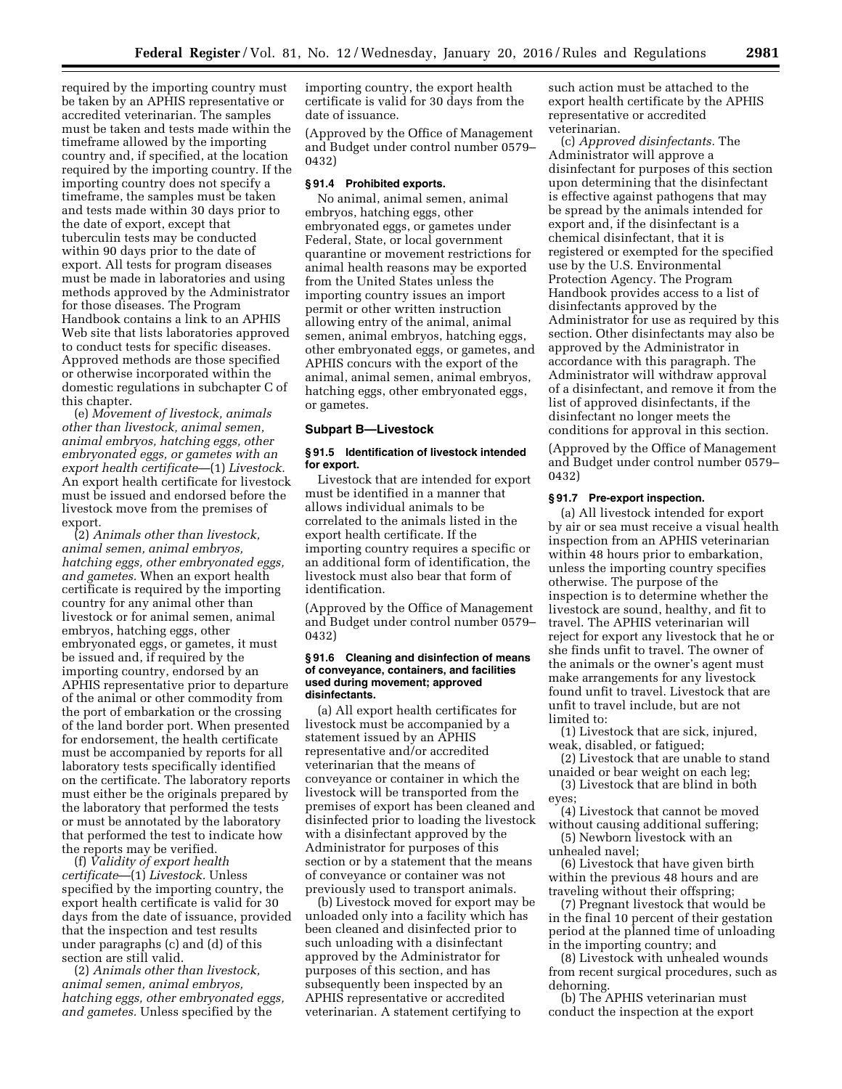required by the importing country must be taken by an APHIS representative or accredited veterinarian. The samples must be taken and tests made within the timeframe allowed by the importing country and, if specified, at the location required by the importing country. If the importing country does not specify a timeframe, the samples must be taken and tests made within 30 days prior to the date of export, except that tuberculin tests may be conducted within 90 days prior to the date of export. All tests for program diseases must be made in laboratories and using methods approved by the Administrator for those diseases. The Program Handbook contains a link to an APHIS Web site that lists laboratories approved to conduct tests for specific diseases. Approved methods are those specified or otherwise incorporated within the domestic regulations in subchapter C of this chapter.

(e) *Movement of livestock, animals other than livestock, animal semen, animal embryos, hatching eggs, other embryonated eggs, or gametes with an export health certificate*—(1) *Livestock.*  An export health certificate for livestock must be issued and endorsed before the livestock move from the premises of export.

(2) *Animals other than livestock, animal semen, animal embryos, hatching eggs, other embryonated eggs, and gametes.* When an export health certificate is required by the importing country for any animal other than livestock or for animal semen, animal embryos, hatching eggs, other embryonated eggs, or gametes, it must be issued and, if required by the importing country, endorsed by an APHIS representative prior to departure of the animal or other commodity from the port of embarkation or the crossing of the land border port. When presented for endorsement, the health certificate must be accompanied by reports for all laboratory tests specifically identified on the certificate. The laboratory reports must either be the originals prepared by the laboratory that performed the tests or must be annotated by the laboratory that performed the test to indicate how the reports may be verified.

(f) *Validity of export health certificate*—(1) *Livestock.* Unless specified by the importing country, the export health certificate is valid for 30 days from the date of issuance, provided that the inspection and test results under paragraphs (c) and (d) of this section are still valid.

(2) *Animals other than livestock, animal semen, animal embryos, hatching eggs, other embryonated eggs, and gametes.* Unless specified by the

importing country, the export health certificate is valid for 30 days from the date of issuance.

(Approved by the Office of Management and Budget under control number 0579– 0432)

#### **§ 91.4 Prohibited exports.**

No animal, animal semen, animal embryos, hatching eggs, other embryonated eggs, or gametes under Federal, State, or local government quarantine or movement restrictions for animal health reasons may be exported from the United States unless the importing country issues an import permit or other written instruction allowing entry of the animal, animal semen, animal embryos, hatching eggs, other embryonated eggs, or gametes, and APHIS concurs with the export of the animal, animal semen, animal embryos, hatching eggs, other embryonated eggs, or gametes.

## **Subpart B—Livestock**

#### **§ 91.5 Identification of livestock intended for export.**

Livestock that are intended for export must be identified in a manner that allows individual animals to be correlated to the animals listed in the export health certificate. If the importing country requires a specific or an additional form of identification, the livestock must also bear that form of identification.

(Approved by the Office of Management and Budget under control number 0579– 0432)

#### **§ 91.6 Cleaning and disinfection of means of conveyance, containers, and facilities used during movement; approved disinfectants.**

(a) All export health certificates for livestock must be accompanied by a statement issued by an APHIS representative and/or accredited veterinarian that the means of conveyance or container in which the livestock will be transported from the premises of export has been cleaned and disinfected prior to loading the livestock with a disinfectant approved by the Administrator for purposes of this section or by a statement that the means of conveyance or container was not previously used to transport animals.

(b) Livestock moved for export may be unloaded only into a facility which has been cleaned and disinfected prior to such unloading with a disinfectant approved by the Administrator for purposes of this section, and has subsequently been inspected by an APHIS representative or accredited veterinarian. A statement certifying to

such action must be attached to the export health certificate by the APHIS representative or accredited veterinarian.

(c) *Approved disinfectants.* The Administrator will approve a disinfectant for purposes of this section upon determining that the disinfectant is effective against pathogens that may be spread by the animals intended for export and, if the disinfectant is a chemical disinfectant, that it is registered or exempted for the specified use by the U.S. Environmental Protection Agency. The Program Handbook provides access to a list of disinfectants approved by the Administrator for use as required by this section. Other disinfectants may also be approved by the Administrator in accordance with this paragraph. The Administrator will withdraw approval of a disinfectant, and remove it from the list of approved disinfectants, if the disinfectant no longer meets the conditions for approval in this section.

(Approved by the Office of Management and Budget under control number 0579– 0432)

#### **§ 91.7 Pre-export inspection.**

(a) All livestock intended for export by air or sea must receive a visual health inspection from an APHIS veterinarian within 48 hours prior to embarkation, unless the importing country specifies otherwise. The purpose of the inspection is to determine whether the livestock are sound, healthy, and fit to travel. The APHIS veterinarian will reject for export any livestock that he or she finds unfit to travel. The owner of the animals or the owner's agent must make arrangements for any livestock found unfit to travel. Livestock that are unfit to travel include, but are not limited to:

(1) Livestock that are sick, injured, weak, disabled, or fatigued;

(2) Livestock that are unable to stand unaided or bear weight on each leg;

(3) Livestock that are blind in both eyes;

(4) Livestock that cannot be moved without causing additional suffering;

(5) Newborn livestock with an unhealed navel;

(6) Livestock that have given birth within the previous 48 hours and are traveling without their offspring;

(7) Pregnant livestock that would be in the final 10 percent of their gestation period at the planned time of unloading in the importing country; and

(8) Livestock with unhealed wounds from recent surgical procedures, such as dehorning.

(b) The APHIS veterinarian must conduct the inspection at the export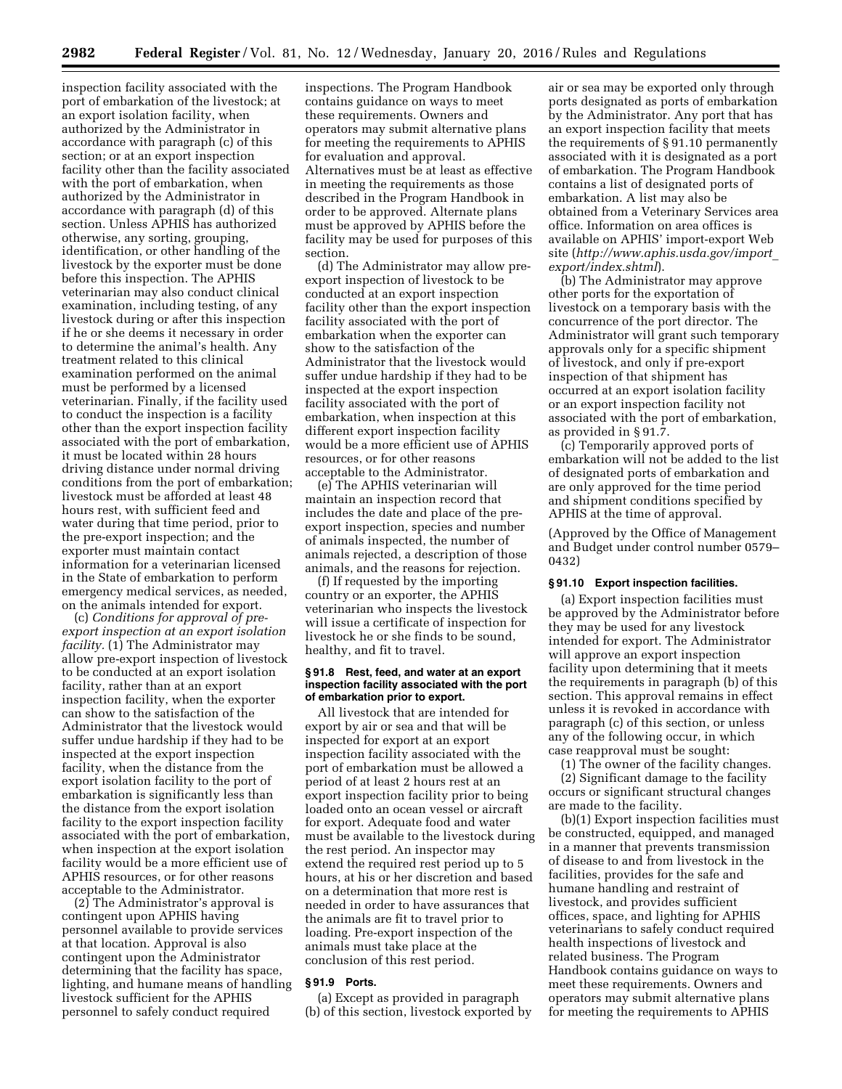inspection facility associated with the port of embarkation of the livestock; at an export isolation facility, when authorized by the Administrator in accordance with paragraph (c) of this section; or at an export inspection facility other than the facility associated with the port of embarkation, when authorized by the Administrator in accordance with paragraph (d) of this section. Unless APHIS has authorized otherwise, any sorting, grouping, identification, or other handling of the livestock by the exporter must be done before this inspection. The APHIS veterinarian may also conduct clinical examination, including testing, of any livestock during or after this inspection if he or she deems it necessary in order to determine the animal's health. Any treatment related to this clinical examination performed on the animal must be performed by a licensed veterinarian. Finally, if the facility used to conduct the inspection is a facility other than the export inspection facility associated with the port of embarkation, it must be located within 28 hours driving distance under normal driving conditions from the port of embarkation; livestock must be afforded at least 48 hours rest, with sufficient feed and water during that time period, prior to the pre-export inspection; and the exporter must maintain contact information for a veterinarian licensed in the State of embarkation to perform emergency medical services, as needed, on the animals intended for export.

(c) *Conditions for approval of preexport inspection at an export isolation facility.* (1) The Administrator may allow pre-export inspection of livestock to be conducted at an export isolation facility, rather than at an export inspection facility, when the exporter can show to the satisfaction of the Administrator that the livestock would suffer undue hardship if they had to be inspected at the export inspection facility, when the distance from the export isolation facility to the port of embarkation is significantly less than the distance from the export isolation facility to the export inspection facility associated with the port of embarkation, when inspection at the export isolation facility would be a more efficient use of APHIS resources, or for other reasons acceptable to the Administrator.

(2) The Administrator's approval is contingent upon APHIS having personnel available to provide services at that location. Approval is also contingent upon the Administrator determining that the facility has space, lighting, and humane means of handling livestock sufficient for the APHIS personnel to safely conduct required

inspections. The Program Handbook contains guidance on ways to meet these requirements. Owners and operators may submit alternative plans for meeting the requirements to APHIS for evaluation and approval. Alternatives must be at least as effective in meeting the requirements as those described in the Program Handbook in order to be approved. Alternate plans must be approved by APHIS before the facility may be used for purposes of this section.

(d) The Administrator may allow preexport inspection of livestock to be conducted at an export inspection facility other than the export inspection facility associated with the port of embarkation when the exporter can show to the satisfaction of the Administrator that the livestock would suffer undue hardship if they had to be inspected at the export inspection facility associated with the port of embarkation, when inspection at this different export inspection facility would be a more efficient use of APHIS resources, or for other reasons acceptable to the Administrator.

(e) The APHIS veterinarian will maintain an inspection record that includes the date and place of the preexport inspection, species and number of animals inspected, the number of animals rejected, a description of those animals, and the reasons for rejection.

(f) If requested by the importing country or an exporter, the APHIS veterinarian who inspects the livestock will issue a certificate of inspection for livestock he or she finds to be sound, healthy, and fit to travel.

#### **§ 91.8 Rest, feed, and water at an export inspection facility associated with the port of embarkation prior to export.**

All livestock that are intended for export by air or sea and that will be inspected for export at an export inspection facility associated with the port of embarkation must be allowed a period of at least 2 hours rest at an export inspection facility prior to being loaded onto an ocean vessel or aircraft for export. Adequate food and water must be available to the livestock during the rest period. An inspector may extend the required rest period up to 5 hours, at his or her discretion and based on a determination that more rest is needed in order to have assurances that the animals are fit to travel prior to loading. Pre-export inspection of the animals must take place at the conclusion of this rest period.

## **§ 91.9 Ports.**

(a) Except as provided in paragraph (b) of this section, livestock exported by air or sea may be exported only through ports designated as ports of embarkation by the Administrator. Any port that has an export inspection facility that meets the requirements of § 91.10 permanently associated with it is designated as a port of embarkation. The Program Handbook contains a list of designated ports of embarkation. A list may also be obtained from a Veterinary Services area office. Information on area offices is available on APHIS' import-export Web site (*[http://www.aphis.usda.gov/import](http://www.aphis.usda.gov/import_export/index.shtml)*\_ *[export/index.shtml](http://www.aphis.usda.gov/import_export/index.shtml)*).

(b) The Administrator may approve other ports for the exportation of livestock on a temporary basis with the concurrence of the port director. The Administrator will grant such temporary approvals only for a specific shipment of livestock, and only if pre-export inspection of that shipment has occurred at an export isolation facility or an export inspection facility not associated with the port of embarkation, as provided in § 91.7.

(c) Temporarily approved ports of embarkation will not be added to the list of designated ports of embarkation and are only approved for the time period and shipment conditions specified by APHIS at the time of approval.

(Approved by the Office of Management and Budget under control number 0579– 0432)

#### **§ 91.10 Export inspection facilities.**

(a) Export inspection facilities must be approved by the Administrator before they may be used for any livestock intended for export. The Administrator will approve an export inspection facility upon determining that it meets the requirements in paragraph (b) of this section. This approval remains in effect unless it is revoked in accordance with paragraph (c) of this section, or unless any of the following occur, in which case reapproval must be sought:

(1) The owner of the facility changes. (2) Significant damage to the facility occurs or significant structural changes are made to the facility.

(b)(1) Export inspection facilities must be constructed, equipped, and managed in a manner that prevents transmission of disease to and from livestock in the facilities, provides for the safe and humane handling and restraint of livestock, and provides sufficient offices, space, and lighting for APHIS veterinarians to safely conduct required health inspections of livestock and related business. The Program Handbook contains guidance on ways to meet these requirements. Owners and operators may submit alternative plans for meeting the requirements to APHIS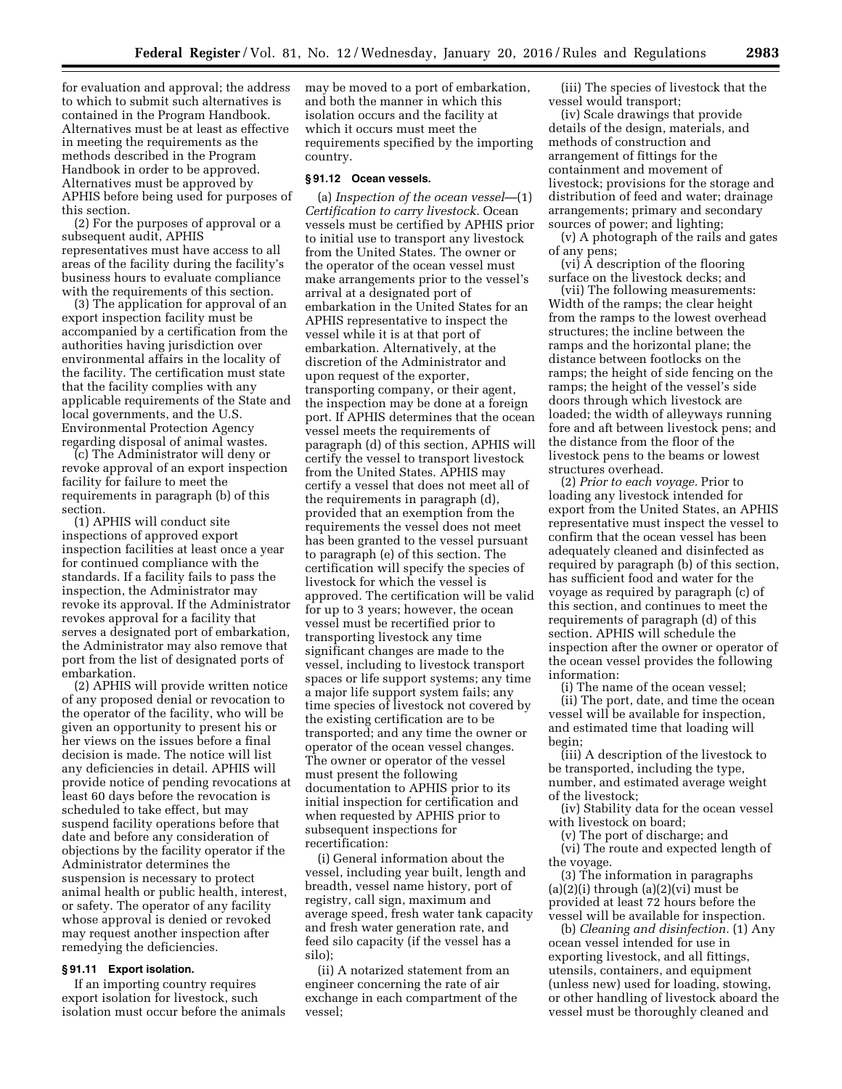for evaluation and approval; the address to which to submit such alternatives is contained in the Program Handbook. Alternatives must be at least as effective in meeting the requirements as the methods described in the Program Handbook in order to be approved. Alternatives must be approved by APHIS before being used for purposes of this section.

(2) For the purposes of approval or a subsequent audit, APHIS representatives must have access to all areas of the facility during the facility's business hours to evaluate compliance with the requirements of this section.

(3) The application for approval of an export inspection facility must be accompanied by a certification from the authorities having jurisdiction over environmental affairs in the locality of the facility. The certification must state that the facility complies with any applicable requirements of the State and local governments, and the U.S. Environmental Protection Agency regarding disposal of animal wastes.

(c) The Administrator will deny or revoke approval of an export inspection facility for failure to meet the requirements in paragraph (b) of this section.

(1) APHIS will conduct site inspections of approved export inspection facilities at least once a year for continued compliance with the standards. If a facility fails to pass the inspection, the Administrator may revoke its approval. If the Administrator revokes approval for a facility that serves a designated port of embarkation, the Administrator may also remove that port from the list of designated ports of embarkation.

(2) APHIS will provide written notice of any proposed denial or revocation to the operator of the facility, who will be given an opportunity to present his or her views on the issues before a final decision is made. The notice will list any deficiencies in detail. APHIS will provide notice of pending revocations at least 60 days before the revocation is scheduled to take effect, but may suspend facility operations before that date and before any consideration of objections by the facility operator if the Administrator determines the suspension is necessary to protect animal health or public health, interest, or safety. The operator of any facility whose approval is denied or revoked may request another inspection after remedying the deficiencies.

## **§ 91.11 Export isolation.**

If an importing country requires export isolation for livestock, such isolation must occur before the animals may be moved to a port of embarkation, and both the manner in which this isolation occurs and the facility at which it occurs must meet the requirements specified by the importing country.

## **§ 91.12 Ocean vessels.**

(a) *Inspection of the ocean vessel*—(1) *Certification to carry livestock.* Ocean vessels must be certified by APHIS prior to initial use to transport any livestock from the United States. The owner or the operator of the ocean vessel must make arrangements prior to the vessel's arrival at a designated port of embarkation in the United States for an APHIS representative to inspect the vessel while it is at that port of embarkation. Alternatively, at the discretion of the Administrator and upon request of the exporter, transporting company, or their agent, the inspection may be done at a foreign port. If APHIS determines that the ocean vessel meets the requirements of paragraph (d) of this section, APHIS will certify the vessel to transport livestock from the United States. APHIS may certify a vessel that does not meet all of the requirements in paragraph (d), provided that an exemption from the requirements the vessel does not meet has been granted to the vessel pursuant to paragraph (e) of this section. The certification will specify the species of livestock for which the vessel is approved. The certification will be valid for up to 3 years; however, the ocean vessel must be recertified prior to transporting livestock any time significant changes are made to the vessel, including to livestock transport spaces or life support systems; any time a major life support system fails; any time species of livestock not covered by the existing certification are to be transported; and any time the owner or operator of the ocean vessel changes. The owner or operator of the vessel must present the following documentation to APHIS prior to its initial inspection for certification and when requested by APHIS prior to subsequent inspections for recertification:

(i) General information about the vessel, including year built, length and breadth, vessel name history, port of registry, call sign, maximum and average speed, fresh water tank capacity and fresh water generation rate, and feed silo capacity (if the vessel has a silo);

(ii) A notarized statement from an engineer concerning the rate of air exchange in each compartment of the vessel;

(iii) The species of livestock that the vessel would transport;

(iv) Scale drawings that provide details of the design, materials, and methods of construction and arrangement of fittings for the containment and movement of livestock; provisions for the storage and distribution of feed and water; drainage arrangements; primary and secondary sources of power; and lighting;

(v) A photograph of the rails and gates of any pens;

(vi) A description of the flooring surface on the livestock decks; and

(vii) The following measurements: Width of the ramps; the clear height from the ramps to the lowest overhead structures; the incline between the ramps and the horizontal plane; the distance between footlocks on the ramps; the height of side fencing on the ramps; the height of the vessel's side doors through which livestock are loaded; the width of alleyways running fore and aft between livestock pens; and the distance from the floor of the livestock pens to the beams or lowest structures overhead.

(2) *Prior to each voyage.* Prior to loading any livestock intended for export from the United States, an APHIS representative must inspect the vessel to confirm that the ocean vessel has been adequately cleaned and disinfected as required by paragraph (b) of this section, has sufficient food and water for the voyage as required by paragraph (c) of this section, and continues to meet the requirements of paragraph (d) of this section. APHIS will schedule the inspection after the owner or operator of the ocean vessel provides the following information:

(i) The name of the ocean vessel; (ii) The port, date, and time the ocean vessel will be available for inspection, and estimated time that loading will begin;

(iii) A description of the livestock to be transported, including the type, number, and estimated average weight of the livestock;

(iv) Stability data for the ocean vessel with livestock on board;

(v) The port of discharge; and

(vi) The route and expected length of the voyage.

(3) The information in paragraphs  $(a)(2)(i)$  through  $(a)(2)(vi)$  must be provided at least 72 hours before the vessel will be available for inspection.

(b) *Cleaning and disinfection.* (1) Any ocean vessel intended for use in exporting livestock, and all fittings, utensils, containers, and equipment (unless new) used for loading, stowing, or other handling of livestock aboard the vessel must be thoroughly cleaned and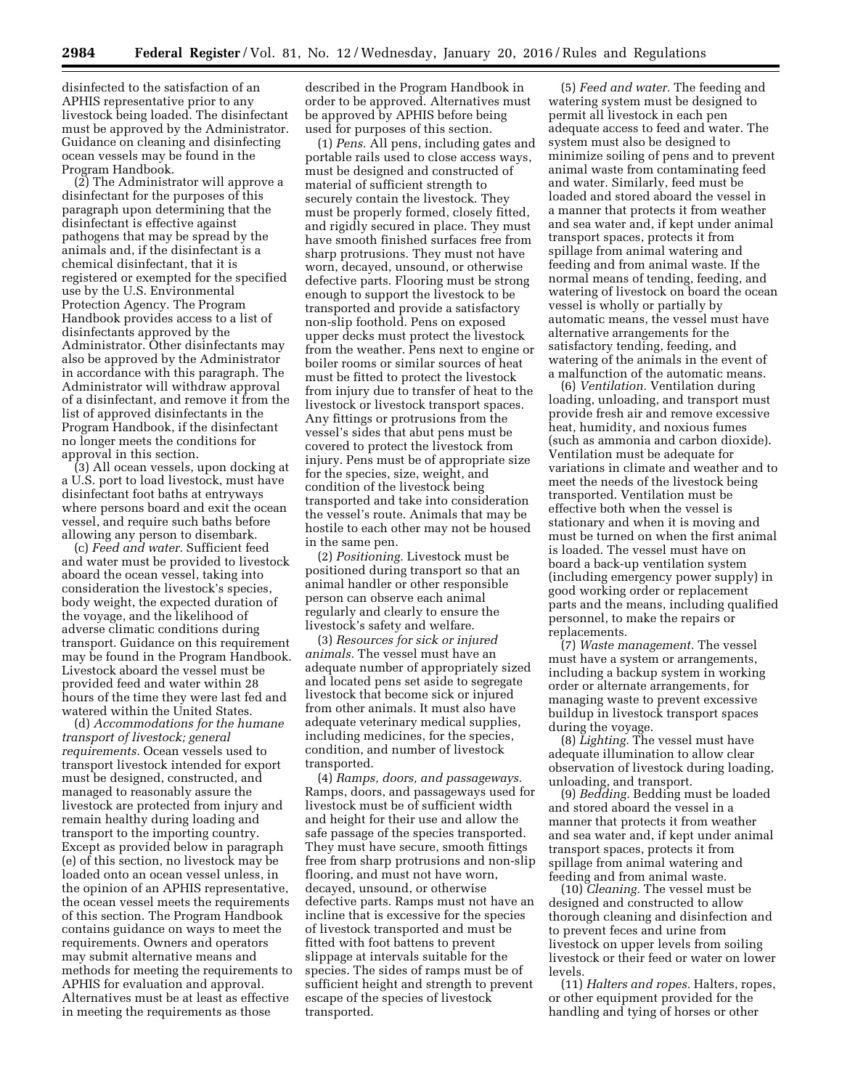disinfected to the satisfaction of an APHIS representative prior to any livestock being loaded. The disinfectant must be approved by the Administrator. Guidance on cleaning and disinfecting ocean vessels may be found in the Program Handbook.

(2) The Administrator will approve a disinfectant for the purposes of this paragraph upon determining that the disinfectant is effective against pathogens that may be spread by the animals and, if the disinfectant is a chemical disinfectant, that it is registered or exempted for the specified use by the U.S. Environmental Protection Agency. The Program Handbook provides access to a list of disinfectants approved by the Administrator. Other disinfectants may also be approved by the Administrator in accordance with this paragraph. The Administrator will withdraw approval of a disinfectant, and remove it from the list of approved disinfectants in the Program Handbook, if the disinfectant no longer meets the conditions for approval in this section.

(3) All ocean vessels, upon docking at a U.S. port to load livestock, must have disinfectant foot baths at entryways where persons board and exit the ocean vessel, and require such baths before allowing any person to disembark.

(c) *Feed and water.* Sufficient feed and water must be provided to livestock aboard the ocean vessel, taking into consideration the livestock's species, body weight, the expected duration of the voyage, and the likelihood of adverse climatic conditions during transport. Guidance on this requirement may be found in the Program Handbook. Livestock aboard the vessel must be provided feed and water within 28 hours of the time they were last fed and watered within the United States.

(d) *Accommodations for the humane transport of livestock; general requirements.* Ocean vessels used to transport livestock intended for export must be designed, constructed, and managed to reasonably assure the livestock are protected from injury and remain healthy during loading and transport to the importing country. Except as provided below in paragraph (e) of this section, no livestock may be loaded onto an ocean vessel unless, in the opinion of an APHIS representative, the ocean vessel meets the requirements of this section. The Program Handbook contains guidance on ways to meet the requirements. Owners and operators may submit alternative means and methods for meeting the requirements to APHIS for evaluation and approval. Alternatives must be at least as effective in meeting the requirements as those

described in the Program Handbook in order to be approved. Alternatives must be approved by APHIS before being used for purposes of this section.

(1) *Pens.* All pens, including gates and portable rails used to close access ways, must be designed and constructed of material of sufficient strength to securely contain the livestock. They must be properly formed, closely fitted, and rigidly secured in place. They must have smooth finished surfaces free from sharp protrusions. They must not have worn, decayed, unsound, or otherwise defective parts. Flooring must be strong enough to support the livestock to be transported and provide a satisfactory non-slip foothold. Pens on exposed upper decks must protect the livestock from the weather. Pens next to engine or boiler rooms or similar sources of heat must be fitted to protect the livestock from injury due to transfer of heat to the livestock or livestock transport spaces. Any fittings or protrusions from the vessel's sides that abut pens must be covered to protect the livestock from injury. Pens must be of appropriate size for the species, size, weight, and condition of the livestock being transported and take into consideration the vessel's route. Animals that may be hostile to each other may not be housed in the same pen.

(2) *Positioning.* Livestock must be positioned during transport so that an animal handler or other responsible person can observe each animal regularly and clearly to ensure the livestock's safety and welfare.

(3) *Resources for sick or injured animals.* The vessel must have an adequate number of appropriately sized and located pens set aside to segregate livestock that become sick or injured from other animals. It must also have adequate veterinary medical supplies, including medicines, for the species, condition, and number of livestock transported.

(4) *Ramps, doors, and passageways.*  Ramps, doors, and passageways used for livestock must be of sufficient width and height for their use and allow the safe passage of the species transported. They must have secure, smooth fittings free from sharp protrusions and non-slip flooring, and must not have worn, decayed, unsound, or otherwise defective parts. Ramps must not have an incline that is excessive for the species of livestock transported and must be fitted with foot battens to prevent slippage at intervals suitable for the species. The sides of ramps must be of sufficient height and strength to prevent escape of the species of livestock transported.

(5) *Feed and water.* The feeding and watering system must be designed to permit all livestock in each pen adequate access to feed and water. The system must also be designed to minimize soiling of pens and to prevent animal waste from contaminating feed and water. Similarly, feed must be loaded and stored aboard the vessel in a manner that protects it from weather and sea water and, if kept under animal transport spaces, protects it from spillage from animal watering and feeding and from animal waste. If the normal means of tending, feeding, and watering of livestock on board the ocean vessel is wholly or partially by automatic means, the vessel must have alternative arrangements for the satisfactory tending, feeding, and watering of the animals in the event of a malfunction of the automatic means.

(6) *Ventilation.* Ventilation during loading, unloading, and transport must provide fresh air and remove excessive heat, humidity, and noxious fumes (such as ammonia and carbon dioxide). Ventilation must be adequate for variations in climate and weather and to meet the needs of the livestock being transported. Ventilation must be effective both when the vessel is stationary and when it is moving and must be turned on when the first animal is loaded. The vessel must have on board a back-up ventilation system (including emergency power supply) in good working order or replacement parts and the means, including qualified personnel, to make the repairs or replacements.

(7) *Waste management.* The vessel must have a system or arrangements, including a backup system in working order or alternate arrangements, for managing waste to prevent excessive buildup in livestock transport spaces during the voyage.

(8) *Lighting.* The vessel must have adequate illumination to allow clear observation of livestock during loading, unloading, and transport.

(9) *Bedding.* Bedding must be loaded and stored aboard the vessel in a manner that protects it from weather and sea water and, if kept under animal transport spaces, protects it from spillage from animal watering and feeding and from animal waste.

(10) *Cleaning.* The vessel must be designed and constructed to allow thorough cleaning and disinfection and to prevent feces and urine from livestock on upper levels from soiling livestock or their feed or water on lower levels.

(11) *Halters and ropes.* Halters, ropes, or other equipment provided for the handling and tying of horses or other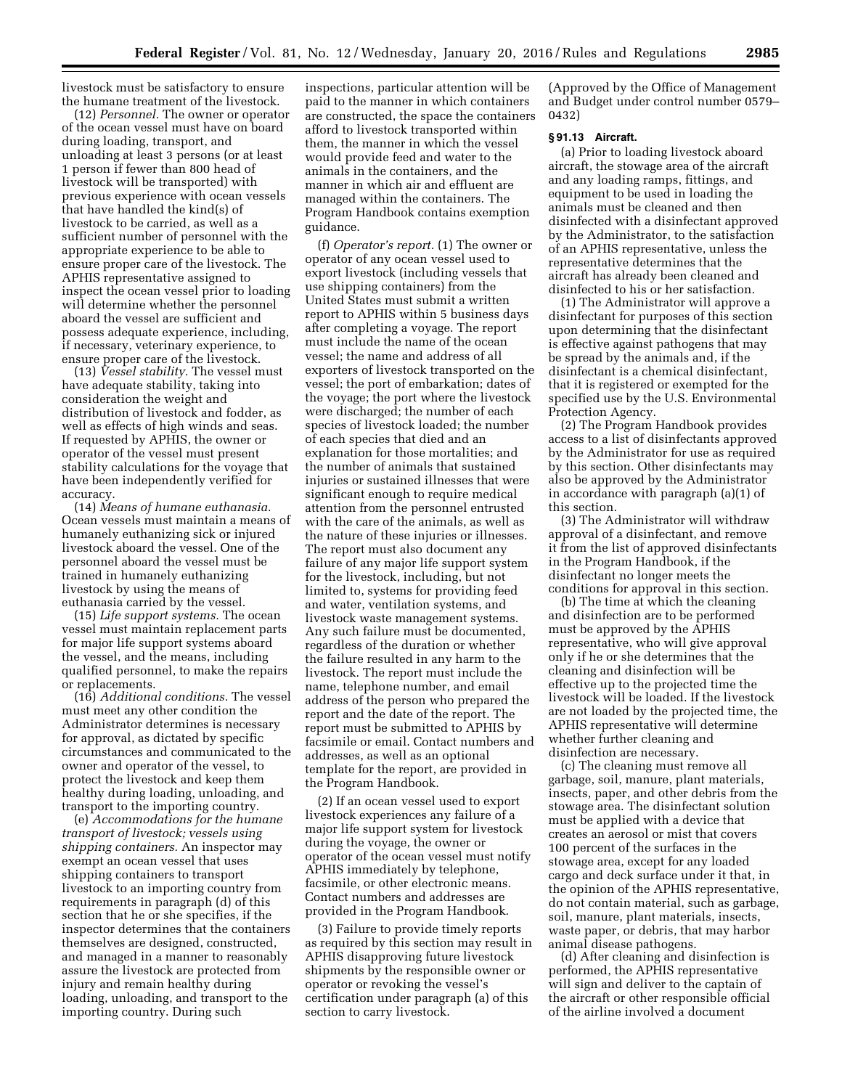livestock must be satisfactory to ensure the humane treatment of the livestock.

(12) *Personnel.* The owner or operator of the ocean vessel must have on board during loading, transport, and unloading at least 3 persons (or at least 1 person if fewer than 800 head of livestock will be transported) with previous experience with ocean vessels that have handled the kind(s) of livestock to be carried, as well as a sufficient number of personnel with the appropriate experience to be able to ensure proper care of the livestock. The APHIS representative assigned to inspect the ocean vessel prior to loading will determine whether the personnel aboard the vessel are sufficient and possess adequate experience, including, if necessary, veterinary experience, to ensure proper care of the livestock.

(13) *Vessel stability.* The vessel must have adequate stability, taking into consideration the weight and distribution of livestock and fodder, as well as effects of high winds and seas. If requested by APHIS, the owner or operator of the vessel must present stability calculations for the voyage that have been independently verified for accuracy.

(14) *Means of humane euthanasia.*  Ocean vessels must maintain a means of humanely euthanizing sick or injured livestock aboard the vessel. One of the personnel aboard the vessel must be trained in humanely euthanizing livestock by using the means of euthanasia carried by the vessel.

(15) *Life support systems.* The ocean vessel must maintain replacement parts for major life support systems aboard the vessel, and the means, including qualified personnel, to make the repairs or replacements.

(16) *Additional conditions.* The vessel must meet any other condition the Administrator determines is necessary for approval, as dictated by specific circumstances and communicated to the owner and operator of the vessel, to protect the livestock and keep them healthy during loading, unloading, and transport to the importing country.

(e) *Accommodations for the humane transport of livestock; vessels using shipping containers.* An inspector may exempt an ocean vessel that uses shipping containers to transport livestock to an importing country from requirements in paragraph (d) of this section that he or she specifies, if the inspector determines that the containers themselves are designed, constructed, and managed in a manner to reasonably assure the livestock are protected from injury and remain healthy during loading, unloading, and transport to the importing country. During such

inspections, particular attention will be paid to the manner in which containers are constructed, the space the containers afford to livestock transported within them, the manner in which the vessel would provide feed and water to the animals in the containers, and the manner in which air and effluent are managed within the containers. The Program Handbook contains exemption guidance.

(f) *Operator's report.* (1) The owner or operator of any ocean vessel used to export livestock (including vessels that use shipping containers) from the United States must submit a written report to APHIS within 5 business days after completing a voyage. The report must include the name of the ocean vessel; the name and address of all exporters of livestock transported on the vessel; the port of embarkation; dates of the voyage; the port where the livestock were discharged; the number of each species of livestock loaded; the number of each species that died and an explanation for those mortalities; and the number of animals that sustained injuries or sustained illnesses that were significant enough to require medical attention from the personnel entrusted with the care of the animals, as well as the nature of these injuries or illnesses. The report must also document any failure of any major life support system for the livestock, including, but not limited to, systems for providing feed and water, ventilation systems, and livestock waste management systems. Any such failure must be documented, regardless of the duration or whether the failure resulted in any harm to the livestock. The report must include the name, telephone number, and email address of the person who prepared the report and the date of the report. The report must be submitted to APHIS by facsimile or email. Contact numbers and addresses, as well as an optional template for the report, are provided in the Program Handbook.

(2) If an ocean vessel used to export livestock experiences any failure of a major life support system for livestock during the voyage, the owner or operator of the ocean vessel must notify APHIS immediately by telephone, facsimile, or other electronic means. Contact numbers and addresses are provided in the Program Handbook.

(3) Failure to provide timely reports as required by this section may result in APHIS disapproving future livestock shipments by the responsible owner or operator or revoking the vessel's certification under paragraph (a) of this section to carry livestock.

(Approved by the Office of Management and Budget under control number 0579– 0432)

## **§ 91.13 Aircraft.**

(a) Prior to loading livestock aboard aircraft, the stowage area of the aircraft and any loading ramps, fittings, and equipment to be used in loading the animals must be cleaned and then disinfected with a disinfectant approved by the Administrator, to the satisfaction of an APHIS representative, unless the representative determines that the aircraft has already been cleaned and disinfected to his or her satisfaction.

(1) The Administrator will approve a disinfectant for purposes of this section upon determining that the disinfectant is effective against pathogens that may be spread by the animals and, if the disinfectant is a chemical disinfectant, that it is registered or exempted for the specified use by the U.S. Environmental Protection Agency.

(2) The Program Handbook provides access to a list of disinfectants approved by the Administrator for use as required by this section. Other disinfectants may also be approved by the Administrator in accordance with paragraph (a)(1) of this section.

(3) The Administrator will withdraw approval of a disinfectant, and remove it from the list of approved disinfectants in the Program Handbook, if the disinfectant no longer meets the conditions for approval in this section.

(b) The time at which the cleaning and disinfection are to be performed must be approved by the APHIS representative, who will give approval only if he or she determines that the cleaning and disinfection will be effective up to the projected time the livestock will be loaded. If the livestock are not loaded by the projected time, the APHIS representative will determine whether further cleaning and disinfection are necessary.

(c) The cleaning must remove all garbage, soil, manure, plant materials, insects, paper, and other debris from the stowage area. The disinfectant solution must be applied with a device that creates an aerosol or mist that covers 100 percent of the surfaces in the stowage area, except for any loaded cargo and deck surface under it that, in the opinion of the APHIS representative, do not contain material, such as garbage, soil, manure, plant materials, insects, waste paper, or debris, that may harbor animal disease pathogens.

(d) After cleaning and disinfection is performed, the APHIS representative will sign and deliver to the captain of the aircraft or other responsible official of the airline involved a document